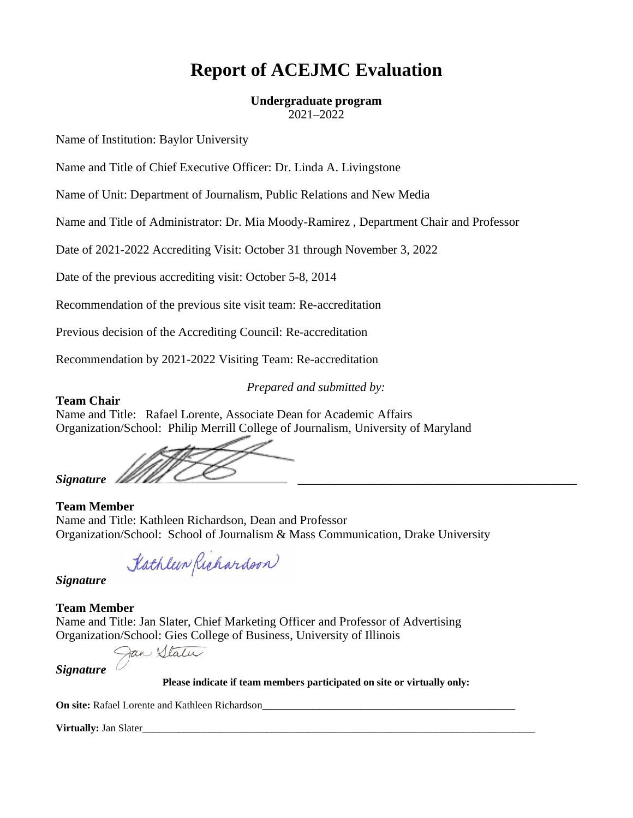# **Report of ACEJMC Evaluation**

### **Undergraduate program**

2021–2022

Name of Institution: Baylor University

Name and Title of Chief Executive Officer: Dr. Linda A. Livingstone

Name of Unit: Department of Journalism, Public Relations and New Media

Name and Title of Administrator: Dr. Mia Moody-Ramirez , Department Chair and Professor

Date of 2021-2022 Accrediting Visit: October 31 through November 3, 2022

Date of the previous accrediting visit: October 5-8, 2014

Recommendation of the previous site visit team: Re-accreditation

Previous decision of the Accrediting Council: Re-accreditation

Recommendation by 2021-2022 Visiting Team: Re-accreditation

*Prepared and submitted by:*

### **Team Chair**

Name and Title: Rafael Lorente, Associate Dean for Academic Affairs Organization/School: Philip Merrill College of Journalism, University of Maryland

Signature <u>/</u>

# **Team Member**

Name and Title: Kathleen Richardson, Dean and Professor Organization/School: School of Journalism & Mass Communication, Drake University

Kathleen Richardson

*Signature*

# **Team Member**

Name and Title: Jan Slater, Chief Marketing Officer and Professor of Advertising Organization/School: Gies College of Business, University of Illinois

Jan Vtaler

*Signature*

**Please indicate if team members participated on site or virtually only:**

**On site: Rafael Lorente and Kathleen Richardson\_** 

**Virtually: Jan Slater**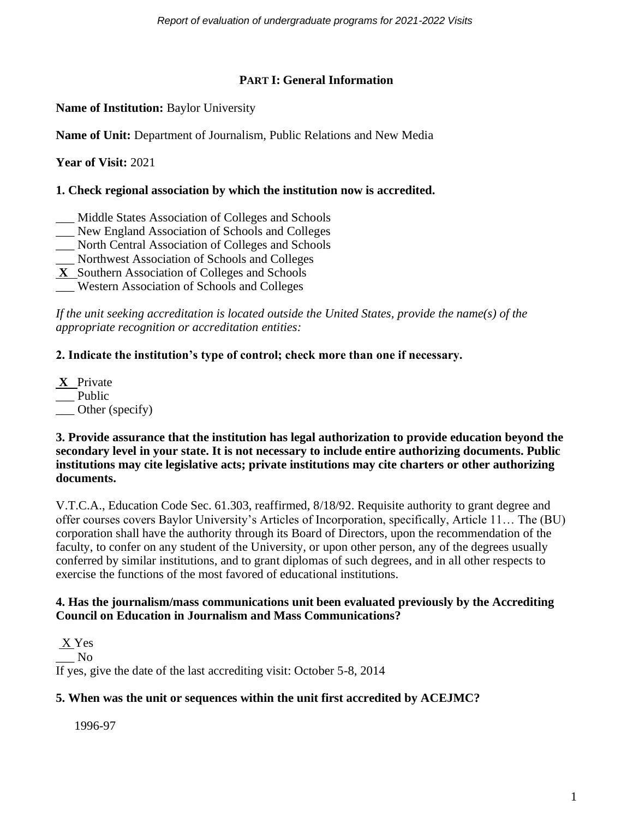# **PART I: General Information**

**Name of Institution:** Baylor University

**Name of Unit:** Department of Journalism, Public Relations and New Media

**Year of Visit:** 2021

# **1. Check regional association by which the institution now is accredited.**

- \_\_\_ Middle States Association of Colleges and Schools
- \_\_\_ New England Association of Schools and Colleges
- \_\_\_ North Central Association of Colleges and Schools
- \_\_\_ Northwest Association of Schools and Colleges
- **X** Southern Association of Colleges and Schools
- \_\_\_ Western Association of Schools and Colleges

*If the unit seeking accreditation is located outside the United States, provide the name(s) of the appropriate recognition or accreditation entities:* 

# **2. Indicate the institution's type of control; check more than one if necessary.**

**X** Private \_\_ Public Other (specify)

### **3. Provide assurance that the institution has legal authorization to provide education beyond the secondary level in your state. It is not necessary to include entire authorizing documents. Public institutions may cite legislative acts; private institutions may cite charters or other authorizing documents.**

V.T.C.A., Education Code Sec. 61.303, reaffirmed, 8/18/92. Requisite authority to grant degree and offer courses covers Baylor University's Articles of Incorporation, specifically, Article 11… The (BU) corporation shall have the authority through its Board of Directors, upon the recommendation of the faculty, to confer on any student of the University, or upon other person, any of the degrees usually conferred by similar institutions, and to grant diplomas of such degrees, and in all other respects to exercise the functions of the most favored of educational institutions.

# **4. Has the journalism/mass communications unit been evaluated previously by the Accrediting Council on Education in Journalism and Mass Communications?**

X Yes \_\_\_ No If yes, give the date of the last accrediting visit: October 5-8, 2014

# **5. When was the unit or sequences within the unit first accredited by ACEJMC?**

1996-97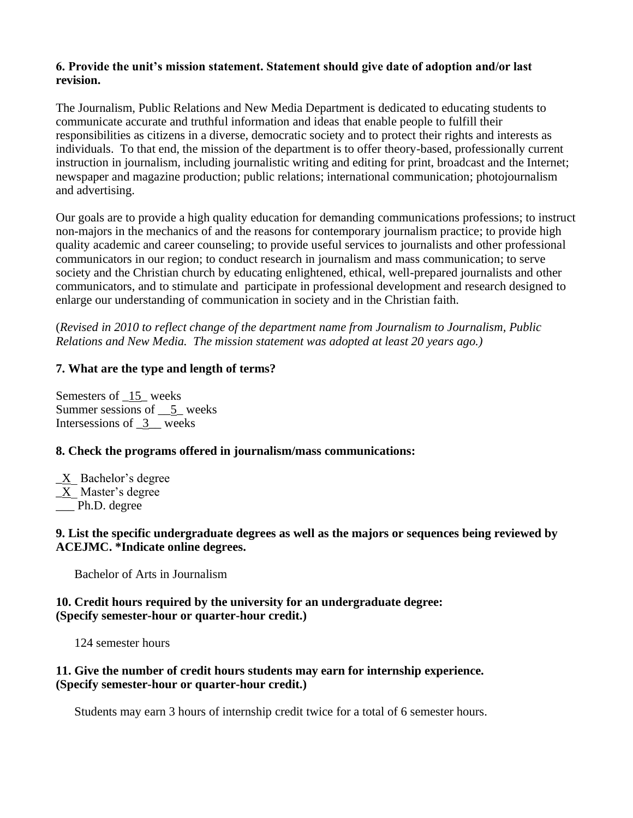### **6. Provide the unit's mission statement. Statement should give date of adoption and/or last revision.**

The Journalism, Public Relations and New Media Department is dedicated to educating students to communicate accurate and truthful information and ideas that enable people to fulfill their responsibilities as citizens in a diverse, democratic society and to protect their rights and interests as individuals. To that end, the mission of the department is to offer theory-based, professionally current instruction in journalism, including journalistic writing and editing for print, broadcast and the Internet; newspaper and magazine production; public relations; international communication; photojournalism and advertising.

Our goals are to provide a high quality education for demanding communications professions; to instruct non-majors in the mechanics of and the reasons for contemporary journalism practice; to provide high quality academic and career counseling; to provide useful services to journalists and other professional communicators in our region; to conduct research in journalism and mass communication; to serve society and the Christian church by educating enlightened, ethical, well-prepared journalists and other communicators, and to stimulate and participate in professional development and research designed to enlarge our understanding of communication in society and in the Christian faith.

(*Revised in 2010 to reflect change of the department name from Journalism to Journalism, Public Relations and New Media. The mission statement was adopted at least 20 years ago.)*

### **7. What are the type and length of terms?**

Semesters of \_15\_ weeks Summer sessions of \_\_5\_ weeks Intersessions of \_3\_\_ weeks

# **8. Check the programs offered in journalism/mass communications:**

\_X\_ Bachelor's degree  $\underline{X}$  Master's degree \_\_\_ Ph.D. degree

### **9. List the specific undergraduate degrees as well as the majors or sequences being reviewed by ACEJMC. \*Indicate online degrees.**

Bachelor of Arts in Journalism

### **10. Credit hours required by the university for an undergraduate degree: (Specify semester-hour or quarter-hour credit.)**

124 semester hours

### **11. Give the number of credit hours students may earn for internship experience. (Specify semester-hour or quarter-hour credit.)**

Students may earn 3 hours of internship credit twice for a total of 6 semester hours.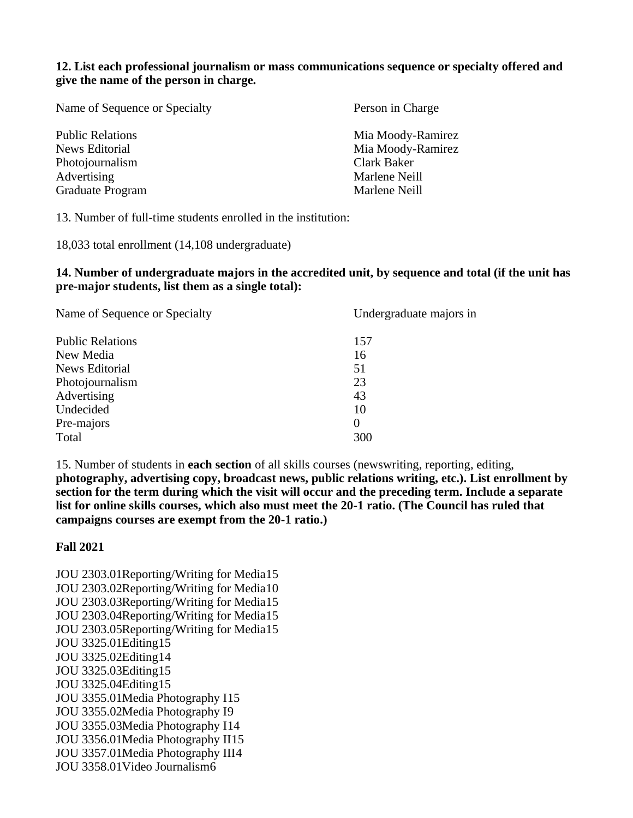**12. List each professional journalism or mass communications sequence or specialty offered and give the name of the person in charge.**

| Name of Sequence or Specialty | Person in Charge  |  |  |
|-------------------------------|-------------------|--|--|
| <b>Public Relations</b>       | Mia Moody-Ramirez |  |  |
| <b>News Editorial</b>         | Mia Moody-Ramirez |  |  |
| Photojournalism               | Clark Baker       |  |  |
| Advertising                   | Marlene Neill     |  |  |
| Graduate Program              | Marlene Neill     |  |  |
|                               |                   |  |  |

13. Number of full-time students enrolled in the institution:

18,033 total enrollment (14,108 undergraduate)

#### **14. Number of undergraduate majors in the accredited unit, by sequence and total (if the unit has pre-major students, list them as a single total):**

| Name of Sequence or Specialty | Undergraduate majors in |  |  |  |
|-------------------------------|-------------------------|--|--|--|
| <b>Public Relations</b>       | 157                     |  |  |  |
| New Media                     | 16                      |  |  |  |
| <b>News Editorial</b>         | 51                      |  |  |  |
| Photojournalism               | 23                      |  |  |  |
| Advertising                   | 43                      |  |  |  |
| Undecided                     | 10                      |  |  |  |
| Pre-majors                    | $\theta$                |  |  |  |
| Total                         | 300                     |  |  |  |

15. Number of students in **each section** of all skills courses (newswriting, reporting, editing, **photography, advertising copy, broadcast news, public relations writing, etc.). List enrollment by section for the term during which the visit will occur and the preceding term. Include a separate list for online skills courses, which also must meet the 20-1 ratio. (The Council has ruled that campaigns courses are exempt from the 20-1 ratio.)**

### **Fall 2021**

JOU 2303.01Reporting/Writing for Media15 JOU 2303.02Reporting/Writing for Media10 JOU 2303.03Reporting/Writing for Media15 JOU 2303.04Reporting/Writing for Media15 JOU 2303.05Reporting/Writing for Media15 JOU 3325.01Editing15 JOU 3325.02Editing14 JOU 3325.03Editing15 JOU 3325.04Editing15 JOU 3355.01Media Photography I15 JOU 3355.02Media Photography I9 JOU 3355.03Media Photography I14 JOU 3356.01Media Photography II15 JOU 3357.01Media Photography III4 JOU 3358.01Video Journalism6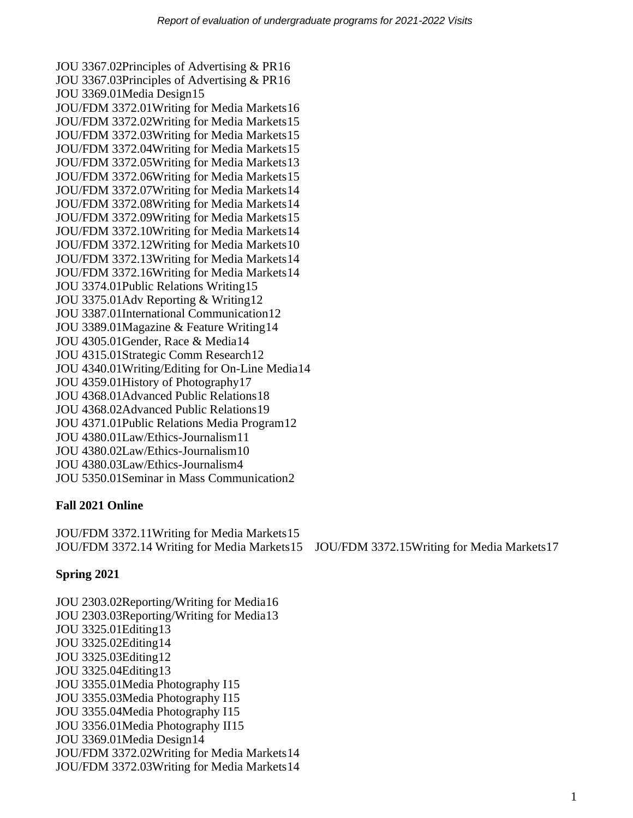JOU 3367.02Principles of Advertising & PR16 JOU 3367.03Principles of Advertising & PR16 JOU 3369.01Media Design15 JOU/FDM 3372.01Writing for Media Markets16 JOU/FDM 3372.02Writing for Media Markets15 JOU/FDM 3372.03Writing for Media Markets15 JOU/FDM 3372.04Writing for Media Markets15 JOU/FDM 3372.05Writing for Media Markets13 JOU/FDM 3372.06Writing for Media Markets15 JOU/FDM 3372.07Writing for Media Markets14 JOU/FDM 3372.08Writing for Media Markets14 JOU/FDM 3372.09Writing for Media Markets15 JOU/FDM 3372.10Writing for Media Markets14 JOU/FDM 3372.12Writing for Media Markets10 JOU/FDM 3372.13Writing for Media Markets14 JOU/FDM 3372.16Writing for Media Markets14 JOU 3374.01Public Relations Writing15 JOU 3375.01Adv Reporting & Writing12 JOU 3387.01International Communication12 JOU 3389.01Magazine & Feature Writing14 JOU 4305.01Gender, Race & Media14 JOU 4315.01Strategic Comm Research12 JOU 4340.01Writing/Editing for On-Line Media14 JOU 4359.01History of Photography17 JOU 4368.01Advanced Public Relations18 JOU 4368.02Advanced Public Relations19 JOU 4371.01Public Relations Media Program12 JOU 4380.01Law/Ethics-Journalism11 JOU 4380.02Law/Ethics-Journalism10 JOU 4380.03Law/Ethics-Journalism4 JOU 5350.01Seminar in Mass Communication2

# **Fall 2021 Online**

JOU/FDM 3372.11Writing for Media Markets15 JOU/FDM 3372.14 Writing for Media Markets15 JOU/FDM 3372.15Writing for Media Markets17

# **Spring 2021**

JOU 2303.02Reporting/Writing for Media16 JOU 2303.03Reporting/Writing for Media13 JOU 3325.01Editing13 JOU 3325.02Editing14 JOU 3325.03Editing12 JOU 3325.04Editing13 JOU 3355.01Media Photography I15 JOU 3355.03Media Photography I15 JOU 3355.04Media Photography I15 JOU 3356.01Media Photography II15 JOU 3369.01Media Design14 JOU/FDM 3372.02Writing for Media Markets14 JOU/FDM 3372.03Writing for Media Markets14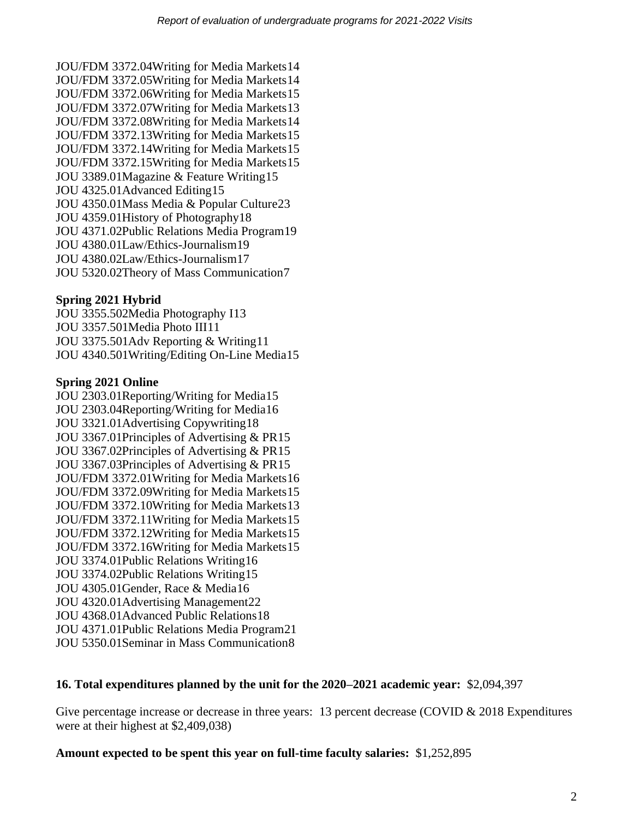JOU/FDM 3372.04Writing for Media Markets14 JOU/FDM 3372.05Writing for Media Markets14 JOU/FDM 3372.06Writing for Media Markets15 JOU/FDM 3372.07Writing for Media Markets13 JOU/FDM 3372.08Writing for Media Markets14 JOU/FDM 3372.13Writing for Media Markets15 JOU/FDM 3372.14Writing for Media Markets15 JOU/FDM 3372.15Writing for Media Markets15 JOU 3389.01Magazine & Feature Writing15 JOU 4325.01Advanced Editing15 JOU 4350.01Mass Media & Popular Culture23 JOU 4359.01History of Photography18 JOU 4371.02Public Relations Media Program19 JOU 4380.01Law/Ethics-Journalism19 JOU 4380.02Law/Ethics-Journalism17 JOU 5320.02Theory of Mass Communication7

# **Spring 2021 Hybrid**

JOU 3355.502Media Photography I13 JOU 3357.501Media Photo III11 JOU 3375.501Adv Reporting & Writing11 JOU 4340.501Writing/Editing On-Line Media15

### **Spring 2021 Online**

JOU 2303.01Reporting/Writing for Media15 JOU 2303.04Reporting/Writing for Media16 JOU 3321.01Advertising Copywriting18 JOU 3367.01Principles of Advertising & PR15 JOU 3367.02Principles of Advertising & PR15 JOU 3367.03Principles of Advertising & PR15 JOU/FDM 3372.01Writing for Media Markets16 JOU/FDM 3372.09Writing for Media Markets15 JOU/FDM 3372.10Writing for Media Markets13 JOU/FDM 3372.11Writing for Media Markets15 JOU/FDM 3372.12Writing for Media Markets15 JOU/FDM 3372.16Writing for Media Markets15 JOU 3374.01Public Relations Writing16 JOU 3374.02Public Relations Writing15 JOU 4305.01Gender, Race & Media16 JOU 4320.01Advertising Management22 JOU 4368.01Advanced Public Relations18 JOU 4371.01Public Relations Media Program21 JOU 5350.01Seminar in Mass Communication8

# **16. Total expenditures planned by the unit for the 2020–2021 academic year:** \$2,094,397

Give percentage increase or decrease in three years: 13 percent decrease (COVID & 2018 Expenditures were at their highest at \$2,409,038)

### **Amount expected to be spent this year on full-time faculty salaries:** \$1,252,895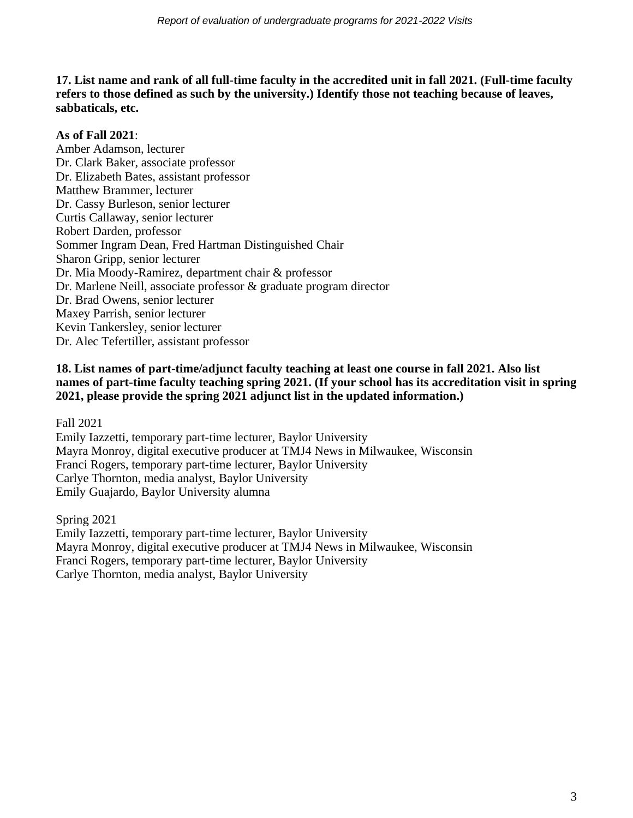**17. List name and rank of all full-time faculty in the accredited unit in fall 2021. (Full-time faculty refers to those defined as such by the university.) Identify those not teaching because of leaves, sabbaticals, etc.**

# **As of Fall 2021**:

Amber Adamson, lecturer Dr. Clark Baker, associate professor Dr. Elizabeth Bates, assistant professor Matthew Brammer, lecturer Dr. Cassy Burleson, senior lecturer Curtis Callaway, senior lecturer Robert Darden, professor Sommer Ingram Dean, Fred Hartman Distinguished Chair Sharon Gripp, senior lecturer Dr. Mia Moody-Ramirez, department chair & professor Dr. Marlene Neill, associate professor & graduate program director Dr. Brad Owens, senior lecturer Maxey Parrish, senior lecturer Kevin Tankersley, senior lecturer Dr. Alec Tefertiller, assistant professor

### **18. List names of part-time/adjunct faculty teaching at least one course in fall 2021. Also list names of part-time faculty teaching spring 2021. (If your school has its accreditation visit in spring 2021, please provide the spring 2021 adjunct list in the updated information.)**

Fall 2021

Emily Iazzetti, temporary part-time lecturer, Baylor University Mayra Monroy, digital executive producer at TMJ4 News in Milwaukee, Wisconsin Franci Rogers, temporary part-time lecturer, Baylor University Carlye Thornton, media analyst, Baylor University Emily Guajardo, Baylor University alumna

Spring 2021

Emily Iazzetti, temporary part-time lecturer, Baylor University Mayra Monroy, digital executive producer at TMJ4 News in Milwaukee, Wisconsin Franci Rogers, temporary part-time lecturer, Baylor University Carlye Thornton, media analyst, Baylor University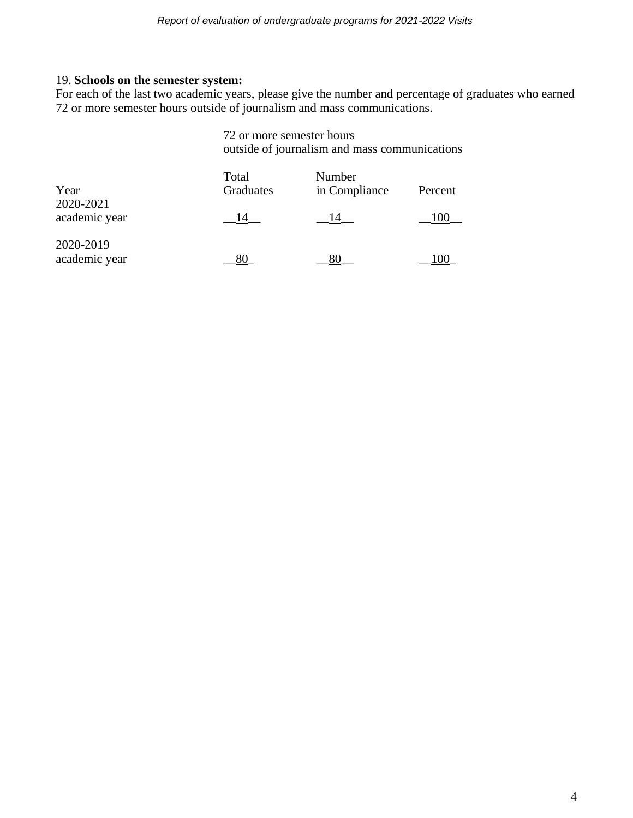### 19. **Schools on the semester system:**

For each of the last two academic years, please give the number and percentage of graduates who earned 72 or more semester hours outside of journalism and mass communications.

|                            |                    | 72 or more semester hours<br>outside of journalism and mass communications |         |  |  |  |
|----------------------------|--------------------|----------------------------------------------------------------------------|---------|--|--|--|
| Year                       | Total<br>Graduates | Number<br>in Compliance                                                    | Percent |  |  |  |
| 2020-2021<br>academic year | 14                 | 14                                                                         | 100     |  |  |  |
| 2020-2019<br>academic year | 80                 |                                                                            |         |  |  |  |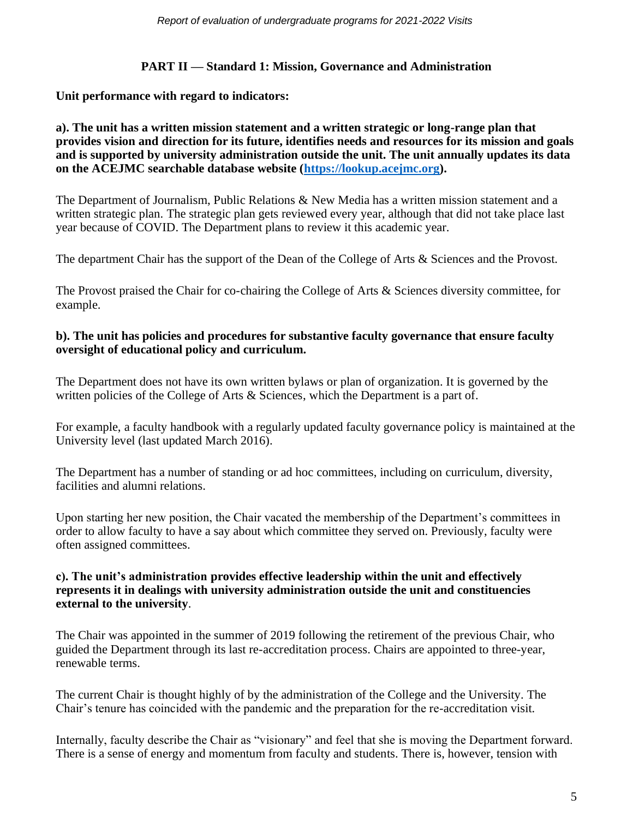# **PART II — Standard 1: Mission, Governance and Administration**

**Unit performance with regard to indicators:**

### **a). The unit has a written mission statement and a written strategic or long-range plan that provides vision and direction for its future, identifies needs and resources for its mission and goals and is supported by university administration outside the unit. The unit annually updates its data on the ACEJMC searchable database website [\(https://lookup.acejmc.org\)](https://lookup.acejmc.org/).**

The Department of Journalism, Public Relations & New Media has a written mission statement and a written strategic plan. The strategic plan gets reviewed every year, although that did not take place last year because of COVID. The Department plans to review it this academic year.

The department Chair has the support of the Dean of the College of Arts & Sciences and the Provost.

The Provost praised the Chair for co-chairing the College of Arts & Sciences diversity committee, for example.

# **b). The unit has policies and procedures for substantive faculty governance that ensure faculty oversight of educational policy and curriculum.**

The Department does not have its own written bylaws or plan of organization. It is governed by the written policies of the College of Arts & Sciences, which the Department is a part of.

For example, a faculty handbook with a regularly updated faculty governance policy is maintained at the University level (last updated March 2016).

The Department has a number of standing or ad hoc committees, including on curriculum, diversity, facilities and alumni relations.

Upon starting her new position, the Chair vacated the membership of the Department's committees in order to allow faculty to have a say about which committee they served on. Previously, faculty were often assigned committees.

### **c). The unit's administration provides effective leadership within the unit and effectively represents it in dealings with university administration outside the unit and constituencies external to the university**.

The Chair was appointed in the summer of 2019 following the retirement of the previous Chair, who guided the Department through its last re-accreditation process. Chairs are appointed to three-year, renewable terms.

The current Chair is thought highly of by the administration of the College and the University. The Chair's tenure has coincided with the pandemic and the preparation for the re-accreditation visit.

Internally, faculty describe the Chair as "visionary" and feel that she is moving the Department forward. There is a sense of energy and momentum from faculty and students. There is, however, tension with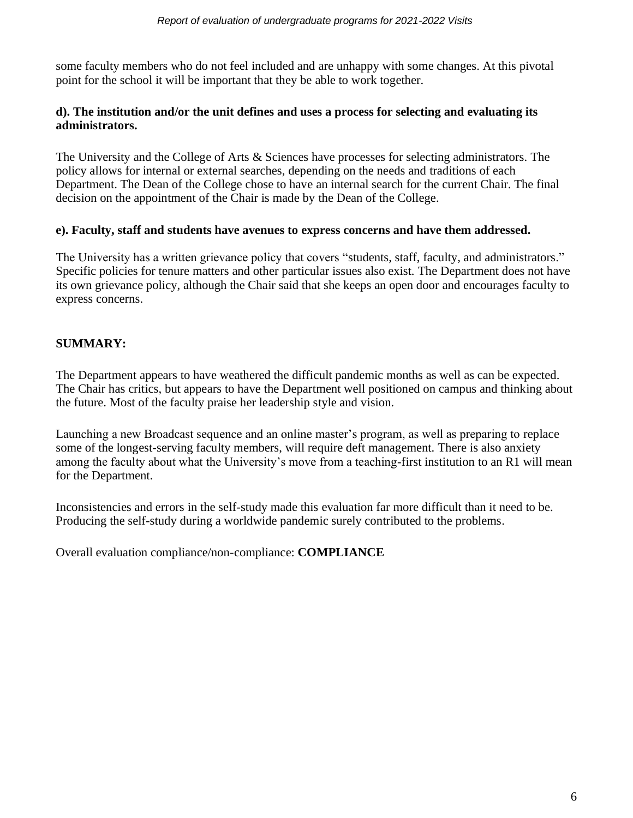some faculty members who do not feel included and are unhappy with some changes. At this pivotal point for the school it will be important that they be able to work together.

# **d). The institution and/or the unit defines and uses a process for selecting and evaluating its administrators.**

The University and the College of Arts & Sciences have processes for selecting administrators. The policy allows for internal or external searches, depending on the needs and traditions of each Department. The Dean of the College chose to have an internal search for the current Chair. The final decision on the appointment of the Chair is made by the Dean of the College.

### **e). Faculty, staff and students have avenues to express concerns and have them addressed.**

The University has a written grievance policy that covers "students, staff, faculty, and administrators." Specific policies for tenure matters and other particular issues also exist. The Department does not have its own grievance policy, although the Chair said that she keeps an open door and encourages faculty to express concerns.

# **SUMMARY:**

The Department appears to have weathered the difficult pandemic months as well as can be expected. The Chair has critics, but appears to have the Department well positioned on campus and thinking about the future. Most of the faculty praise her leadership style and vision.

Launching a new Broadcast sequence and an online master's program, as well as preparing to replace some of the longest-serving faculty members, will require deft management. There is also anxiety among the faculty about what the University's move from a teaching-first institution to an R1 will mean for the Department.

Inconsistencies and errors in the self-study made this evaluation far more difficult than it need to be. Producing the self-study during a worldwide pandemic surely contributed to the problems.

Overall evaluation compliance/non-compliance: **COMPLIANCE**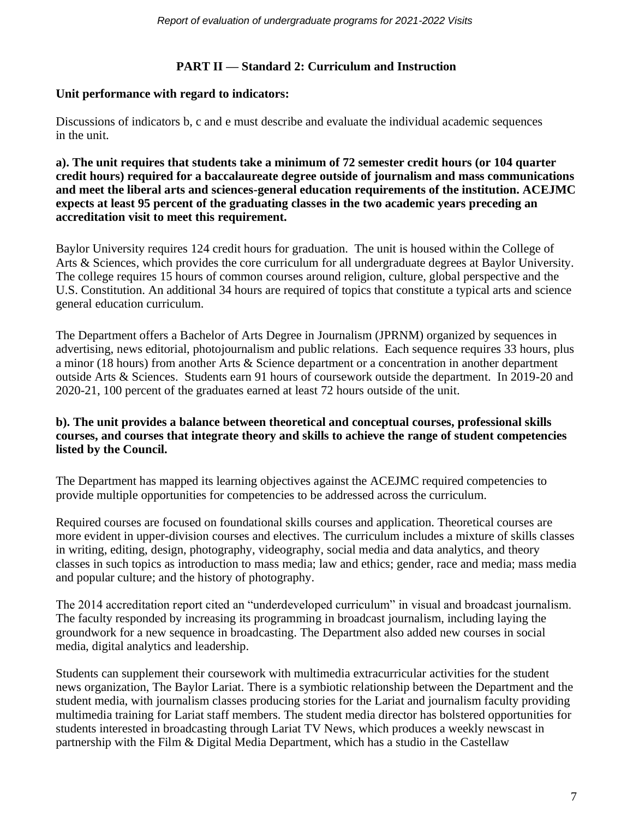### **PART II — Standard 2: Curriculum and Instruction**

### **Unit performance with regard to indicators:**

Discussions of indicators b, c and e must describe and evaluate the individual academic sequences in the unit.

**a). The unit requires that students take a minimum of 72 semester credit hours (or 104 quarter credit hours) required for a baccalaureate degree outside of journalism and mass communications and meet the liberal arts and sciences-general education requirements of the institution. ACEJMC expects at least 95 percent of the graduating classes in the two academic years preceding an accreditation visit to meet this requirement.**

Baylor University requires 124 credit hours for graduation. The unit is housed within the College of Arts & Sciences, which provides the core curriculum for all undergraduate degrees at Baylor University. The college requires 15 hours of common courses around religion, culture, global perspective and the U.S. Constitution. An additional 34 hours are required of topics that constitute a typical arts and science general education curriculum.

The Department offers a Bachelor of Arts Degree in Journalism (JPRNM) organized by sequences in advertising, news editorial, photojournalism and public relations. Each sequence requires 33 hours, plus a minor (18 hours) from another Arts & Science department or a concentration in another department outside Arts & Sciences. Students earn 91 hours of coursework outside the department. In 2019-20 and 2020-21, 100 percent of the graduates earned at least 72 hours outside of the unit.

### **b). The unit provides a balance between theoretical and conceptual courses, professional skills courses, and courses that integrate theory and skills to achieve the range of student competencies listed by the Council.**

The Department has mapped its learning objectives against the ACEJMC required competencies to provide multiple opportunities for competencies to be addressed across the curriculum.

Required courses are focused on foundational skills courses and application. Theoretical courses are more evident in upper-division courses and electives. The curriculum includes a mixture of skills classes in writing, editing, design, photography, videography, social media and data analytics, and theory classes in such topics as introduction to mass media; law and ethics; gender, race and media; mass media and popular culture; and the history of photography.

The 2014 accreditation report cited an "underdeveloped curriculum" in visual and broadcast journalism. The faculty responded by increasing its programming in broadcast journalism, including laying the groundwork for a new sequence in broadcasting. The Department also added new courses in social media, digital analytics and leadership.

Students can supplement their coursework with multimedia extracurricular activities for the student news organization, The Baylor Lariat. There is a symbiotic relationship between the Department and the student media, with journalism classes producing stories for the Lariat and journalism faculty providing multimedia training for Lariat staff members. The student media director has bolstered opportunities for students interested in broadcasting through Lariat TV News, which produces a weekly newscast in partnership with the Film & Digital Media Department, which has a studio in the Castellaw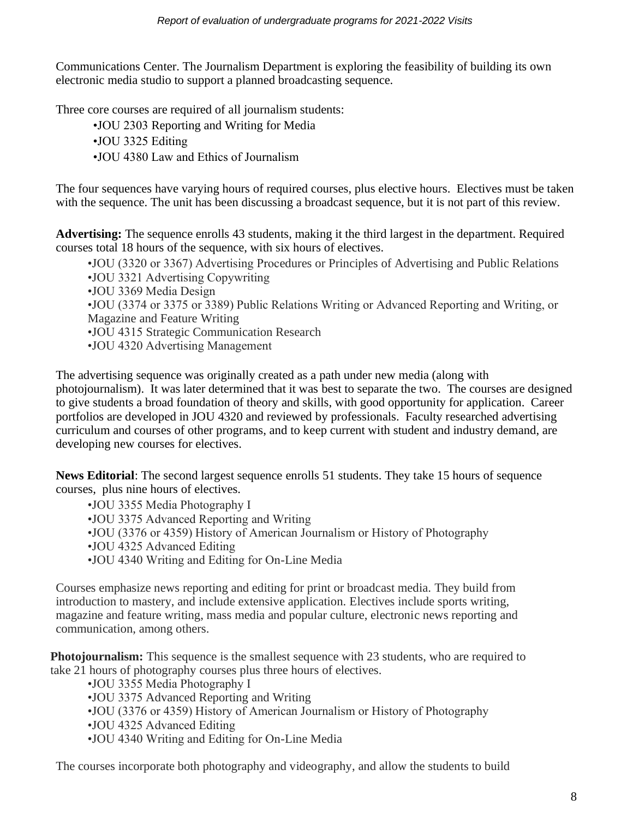Communications Center. The Journalism Department is exploring the feasibility of building its own electronic media studio to support a planned broadcasting sequence.

Three core courses are required of all journalism students:

- •JOU 2303 Reporting and Writing for Media
- •JOU 3325 Editing
- •JOU 4380 Law and Ethics of Journalism

The four sequences have varying hours of required courses, plus elective hours. Electives must be taken with the sequence. The unit has been discussing a broadcast sequence, but it is not part of this review.

**Advertising:** The sequence enrolls 43 students, making it the third largest in the department. Required courses total 18 hours of the sequence, with six hours of electives.

- •JOU (3320 or 3367) Advertising Procedures or Principles of Advertising and Public Relations
- •JOU 3321 Advertising Copywriting
- •JOU 3369 Media Design
- •JOU (3374 or 3375 or 3389) Public Relations Writing or Advanced Reporting and Writing, or Magazine and Feature Writing
- •JOU 4315 Strategic Communication Research
- •JOU 4320 Advertising Management

The advertising sequence was originally created as a path under new media (along with photojournalism). It was later determined that it was best to separate the two. The courses are designed to give students a broad foundation of theory and skills, with good opportunity for application. Career portfolios are developed in JOU 4320 and reviewed by professionals. Faculty researched advertising curriculum and courses of other programs, and to keep current with student and industry demand, are developing new courses for electives.

**News Editorial**: The second largest sequence enrolls 51 students. They take 15 hours of sequence courses, plus nine hours of electives.

- •JOU 3355 Media Photography I
- •JOU 3375 Advanced Reporting and Writing
- •JOU (3376 or 4359) History of American Journalism or History of Photography
- •JOU 4325 Advanced Editing
- •JOU 4340 Writing and Editing for On-Line Media

Courses emphasize news reporting and editing for print or broadcast media. They build from introduction to mastery, and include extensive application. Electives include sports writing, magazine and feature writing, mass media and popular culture, electronic news reporting and communication, among others.

**Photojournalism:** This sequence is the smallest sequence with 23 students, who are required to take 21 hours of photography courses plus three hours of electives.

- •JOU 3355 Media Photography I
- •JOU 3375 Advanced Reporting and Writing
- •JOU (3376 or 4359) History of American Journalism or History of Photography
- •JOU 4325 Advanced Editing
- •JOU 4340 Writing and Editing for On-Line Media

The courses incorporate both photography and videography, and allow the students to build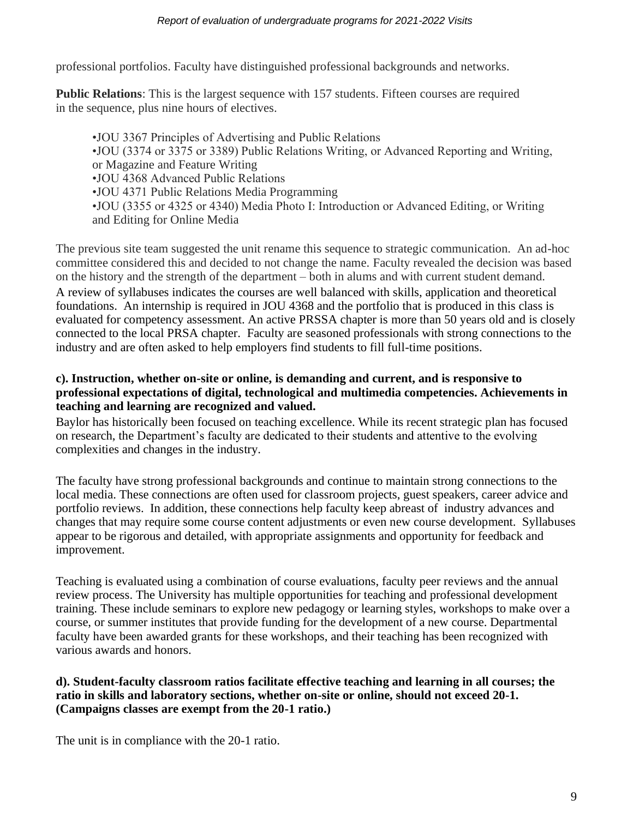professional portfolios. Faculty have distinguished professional backgrounds and networks.

**Public Relations**: This is the largest sequence with 157 students. Fifteen courses are required in the sequence, plus nine hours of electives.

•JOU 3367 Principles of Advertising and Public Relations •JOU (3374 or 3375 or 3389) Public Relations Writing, or Advanced Reporting and Writing, or Magazine and Feature Writing •JOU 4368 Advanced Public Relations •JOU 4371 Public Relations Media Programming •JOU (3355 or 4325 or 4340) Media Photo I: Introduction or Advanced Editing, or Writing and Editing for Online Media

The previous site team suggested the unit rename this sequence to strategic communication. An ad-hoc committee considered this and decided to not change the name. Faculty revealed the decision was based on the history and the strength of the department – both in alums and with current student demand. A review of syllabuses indicates the courses are well balanced with skills, application and theoretical foundations. An internship is required in JOU 4368 and the portfolio that is produced in this class is evaluated for competency assessment. An active PRSSA chapter is more than 50 years old and is closely connected to the local PRSA chapter. Faculty are seasoned professionals with strong connections to the industry and are often asked to help employers find students to fill full-time positions.

### **c). Instruction, whether on-site or online, is demanding and current, and is responsive to professional expectations of digital, technological and multimedia competencies. Achievements in teaching and learning are recognized and valued.**

Baylor has historically been focused on teaching excellence. While its recent strategic plan has focused on research, the Department's faculty are dedicated to their students and attentive to the evolving complexities and changes in the industry.

The faculty have strong professional backgrounds and continue to maintain strong connections to the local media. These connections are often used for classroom projects, guest speakers, career advice and portfolio reviews. In addition, these connections help faculty keep abreast of industry advances and changes that may require some course content adjustments or even new course development. Syllabuses appear to be rigorous and detailed, with appropriate assignments and opportunity for feedback and improvement.

Teaching is evaluated using a combination of course evaluations, faculty peer reviews and the annual review process. The University has multiple opportunities for teaching and professional development training. These include seminars to explore new pedagogy or learning styles, workshops to make over a course, or summer institutes that provide funding for the development of a new course. Departmental faculty have been awarded grants for these workshops, and their teaching has been recognized with various awards and honors.

### **d). Student-faculty classroom ratios facilitate effective teaching and learning in all courses; the ratio in skills and laboratory sections, whether on-site or online, should not exceed 20-1. (Campaigns classes are exempt from the 20-1 ratio.)**

The unit is in compliance with the 20-1 ratio.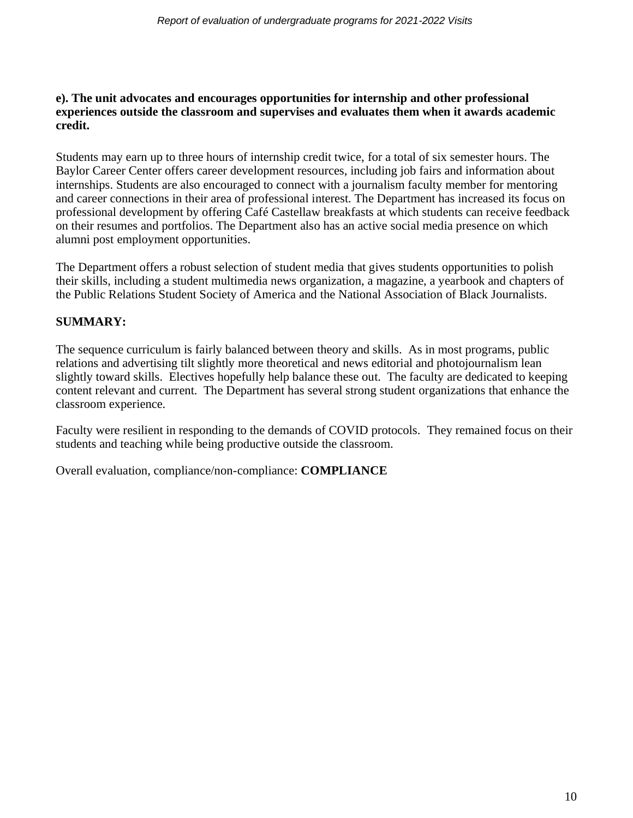### **e). The unit advocates and encourages opportunities for internship and other professional experiences outside the classroom and supervises and evaluates them when it awards academic credit.**

Students may earn up to three hours of internship credit twice, for a total of six semester hours. The Baylor Career Center offers career development resources, including job fairs and information about internships. Students are also encouraged to connect with a journalism faculty member for mentoring and career connections in their area of professional interest. The Department has increased its focus on professional development by offering Café Castellaw breakfasts at which students can receive feedback on their resumes and portfolios. The Department also has an active social media presence on which alumni post employment opportunities.

The Department offers a robust selection of student media that gives students opportunities to polish their skills, including a student multimedia news organization, a magazine, a yearbook and chapters of the Public Relations Student Society of America and the National Association of Black Journalists.

# **SUMMARY:**

The sequence curriculum is fairly balanced between theory and skills. As in most programs, public relations and advertising tilt slightly more theoretical and news editorial and photojournalism lean slightly toward skills. Electives hopefully help balance these out. The faculty are dedicated to keeping content relevant and current. The Department has several strong student organizations that enhance the classroom experience.

Faculty were resilient in responding to the demands of COVID protocols. They remained focus on their students and teaching while being productive outside the classroom.

Overall evaluation, compliance/non-compliance: **COMPLIANCE**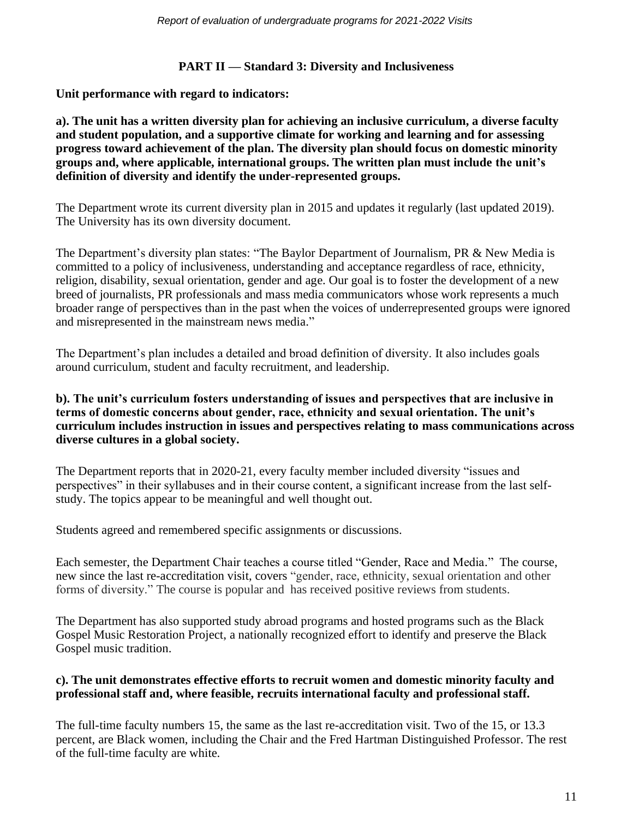# **PART II — Standard 3: Diversity and Inclusiveness**

**Unit performance with regard to indicators:**

**a). The unit has a written diversity plan for achieving an inclusive curriculum, a diverse faculty and student population, and a supportive climate for working and learning and for assessing progress toward achievement of the plan. The diversity plan should focus on domestic minority groups and, where applicable, international groups. The written plan must include the unit's definition of diversity and identify the under-represented groups.**

The Department wrote its current diversity plan in 2015 and updates it regularly (last updated 2019). The University has its own diversity document.

The Department's diversity plan states: "The Baylor Department of Journalism, PR & New Media is committed to a policy of inclusiveness, understanding and acceptance regardless of race, ethnicity, religion, disability, sexual orientation, gender and age. Our goal is to foster the development of a new breed of journalists, PR professionals and mass media communicators whose work represents a much broader range of perspectives than in the past when the voices of underrepresented groups were ignored and misrepresented in the mainstream news media."

The Department's plan includes a detailed and broad definition of diversity. It also includes goals around curriculum, student and faculty recruitment, and leadership.

### **b). The unit's curriculum fosters understanding of issues and perspectives that are inclusive in terms of domestic concerns about gender, race, ethnicity and sexual orientation. The unit's curriculum includes instruction in issues and perspectives relating to mass communications across diverse cultures in a global society.**

The Department reports that in 2020-21, every faculty member included diversity "issues and perspectives" in their syllabuses and in their course content, a significant increase from the last selfstudy. The topics appear to be meaningful and well thought out.

Students agreed and remembered specific assignments or discussions.

Each semester, the Department Chair teaches a course titled "Gender, Race and Media." The course, new since the last re-accreditation visit, covers "gender, race, ethnicity, sexual orientation and other forms of diversity." The course is popular and has received positive reviews from students.

The Department has also supported study abroad programs and hosted programs such as the Black Gospel Music Restoration Project, a nationally recognized effort to identify and preserve the Black Gospel music tradition.

### **c). The unit demonstrates effective efforts to recruit women and domestic minority faculty and professional staff and, where feasible, recruits international faculty and professional staff.**

The full-time faculty numbers 15, the same as the last re-accreditation visit. Two of the 15, or 13.3 percent, are Black women, including the Chair and the Fred Hartman Distinguished Professor. The rest of the full-time faculty are white.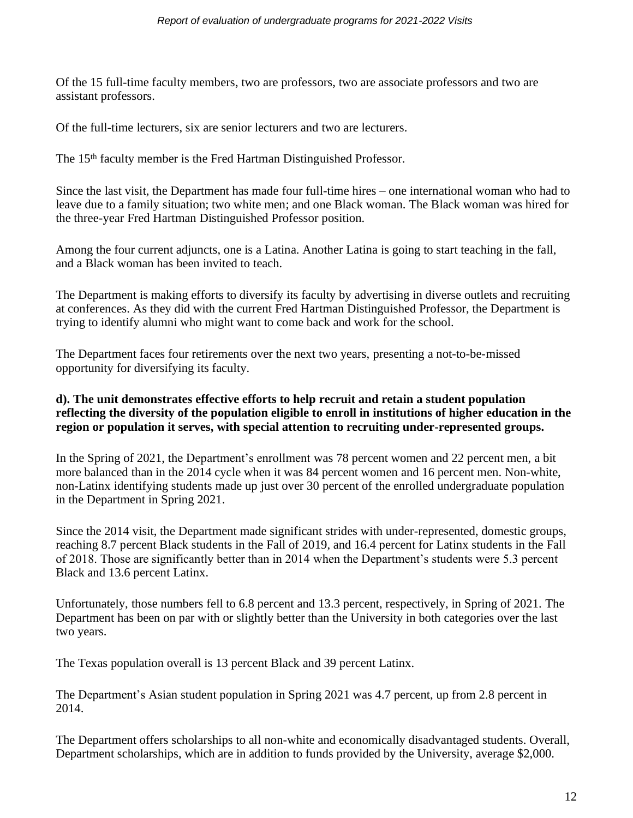Of the 15 full-time faculty members, two are professors, two are associate professors and two are assistant professors.

Of the full-time lecturers, six are senior lecturers and two are lecturers.

The 15<sup>th</sup> faculty member is the Fred Hartman Distinguished Professor.

Since the last visit, the Department has made four full-time hires – one international woman who had to leave due to a family situation; two white men; and one Black woman. The Black woman was hired for the three-year Fred Hartman Distinguished Professor position.

Among the four current adjuncts, one is a Latina. Another Latina is going to start teaching in the fall, and a Black woman has been invited to teach.

The Department is making efforts to diversify its faculty by advertising in diverse outlets and recruiting at conferences. As they did with the current Fred Hartman Distinguished Professor, the Department is trying to identify alumni who might want to come back and work for the school.

The Department faces four retirements over the next two years, presenting a not-to-be-missed opportunity for diversifying its faculty.

### **d). The unit demonstrates effective efforts to help recruit and retain a student population reflecting the diversity of the population eligible to enroll in institutions of higher education in the region or population it serves, with special attention to recruiting under-represented groups.**

In the Spring of 2021, the Department's enrollment was 78 percent women and 22 percent men, a bit more balanced than in the 2014 cycle when it was 84 percent women and 16 percent men. Non-white, non-Latinx identifying students made up just over 30 percent of the enrolled undergraduate population in the Department in Spring 2021.

Since the 2014 visit, the Department made significant strides with under-represented, domestic groups, reaching 8.7 percent Black students in the Fall of 2019, and 16.4 percent for Latinx students in the Fall of 2018. Those are significantly better than in 2014 when the Department's students were 5.3 percent Black and 13.6 percent Latinx.

Unfortunately, those numbers fell to 6.8 percent and 13.3 percent, respectively, in Spring of 2021. The Department has been on par with or slightly better than the University in both categories over the last two years.

The Texas population overall is 13 percent Black and 39 percent Latinx.

The Department's Asian student population in Spring 2021 was 4.7 percent, up from 2.8 percent in 2014.

The Department offers scholarships to all non-white and economically disadvantaged students. Overall, Department scholarships, which are in addition to funds provided by the University, average \$2,000.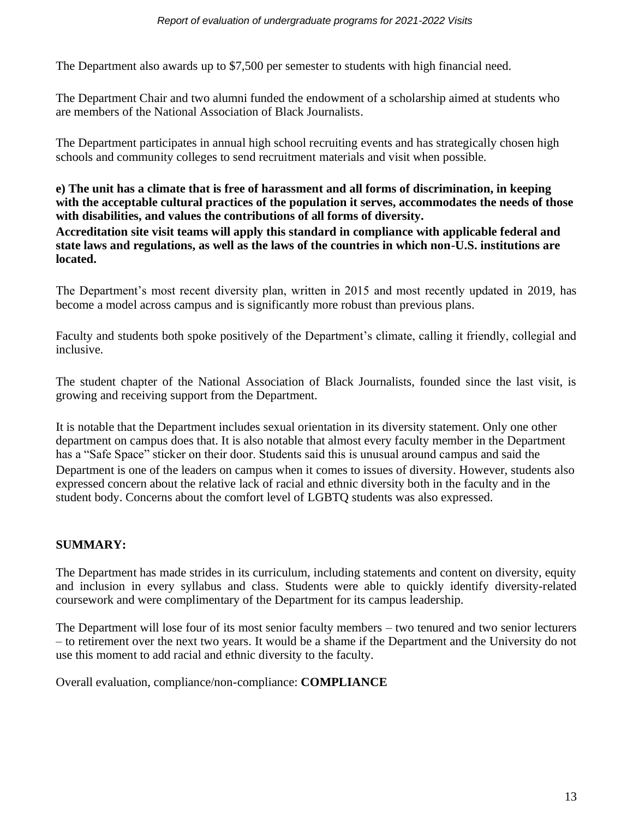The Department also awards up to \$7,500 per semester to students with high financial need.

The Department Chair and two alumni funded the endowment of a scholarship aimed at students who are members of the National Association of Black Journalists.

The Department participates in annual high school recruiting events and has strategically chosen high schools and community colleges to send recruitment materials and visit when possible.

### **e) The unit has a climate that is free of harassment and all forms of discrimination, in keeping with the acceptable cultural practices of the population it serves, accommodates the needs of those with disabilities, and values the contributions of all forms of diversity. Accreditation site visit teams will apply this standard in compliance with applicable federal and state laws and regulations, as well as the laws of the countries in which non-U.S. institutions are located.**

The Department's most recent diversity plan, written in 2015 and most recently updated in 2019, has become a model across campus and is significantly more robust than previous plans.

Faculty and students both spoke positively of the Department's climate, calling it friendly, collegial and inclusive.

The student chapter of the National Association of Black Journalists, founded since the last visit, is growing and receiving support from the Department.

It is notable that the Department includes sexual orientation in its diversity statement. Only one other department on campus does that. It is also notable that almost every faculty member in the Department has a "Safe Space" sticker on their door. Students said this is unusual around campus and said the Department is one of the leaders on campus when it comes to issues of diversity. However, students also expressed concern about the relative lack of racial and ethnic diversity both in the faculty and in the student body. Concerns about the comfort level of LGBTQ students was also expressed.

# **SUMMARY:**

The Department has made strides in its curriculum, including statements and content on diversity, equity and inclusion in every syllabus and class. Students were able to quickly identify diversity-related coursework and were complimentary of the Department for its campus leadership.

The Department will lose four of its most senior faculty members – two tenured and two senior lecturers – to retirement over the next two years. It would be a shame if the Department and the University do not use this moment to add racial and ethnic diversity to the faculty.

Overall evaluation, compliance/non-compliance: **COMPLIANCE**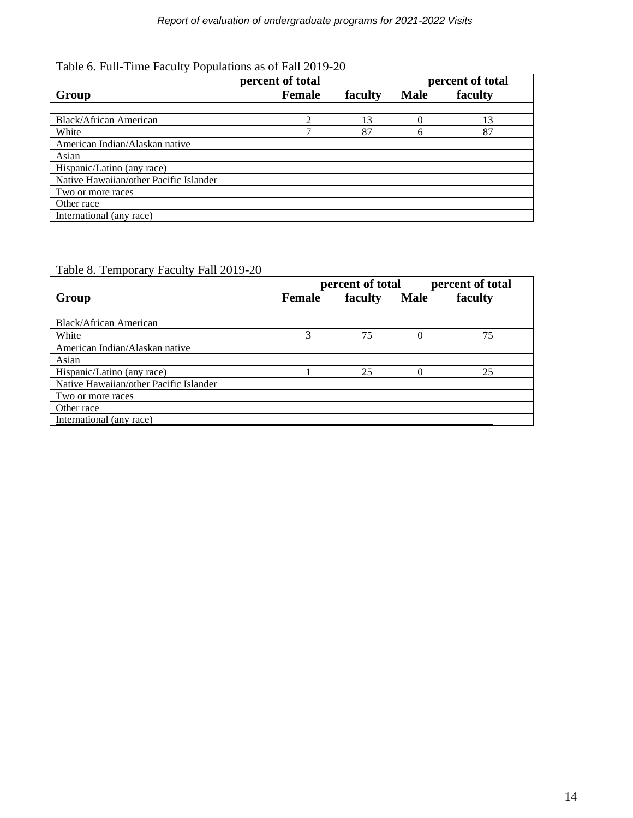|                                        | percent of total | percent of total |             |         |
|----------------------------------------|------------------|------------------|-------------|---------|
| Group                                  | <b>Female</b>    | faculty          | <b>Male</b> | faculty |
|                                        |                  |                  |             |         |
| Black/African American                 |                  | 13               |             | 13      |
| White                                  |                  | 87               |             | 87      |
| American Indian/Alaskan native         |                  |                  |             |         |
| Asian                                  |                  |                  |             |         |
| Hispanic/Latino (any race)             |                  |                  |             |         |
| Native Hawaiian/other Pacific Islander |                  |                  |             |         |
| Two or more races                      |                  |                  |             |         |
| Other race                             |                  |                  |             |         |
| International (any race)               |                  |                  |             |         |

# Table 8. Temporary Faculty Fall 2019-20

|                                        | percent of total |         |             | percent of total |  |
|----------------------------------------|------------------|---------|-------------|------------------|--|
| Group                                  | <b>Female</b>    | faculty | <b>Male</b> | faculty          |  |
|                                        |                  |         |             |                  |  |
| Black/African American                 |                  |         |             |                  |  |
| White                                  |                  | 75      |             | 75               |  |
| American Indian/Alaskan native         |                  |         |             |                  |  |
| Asian                                  |                  |         |             |                  |  |
| Hispanic/Latino (any race)             |                  | 25      |             | 25               |  |
| Native Hawaiian/other Pacific Islander |                  |         |             |                  |  |
| Two or more races                      |                  |         |             |                  |  |
| Other race                             |                  |         |             |                  |  |
| International (any race)               |                  |         |             |                  |  |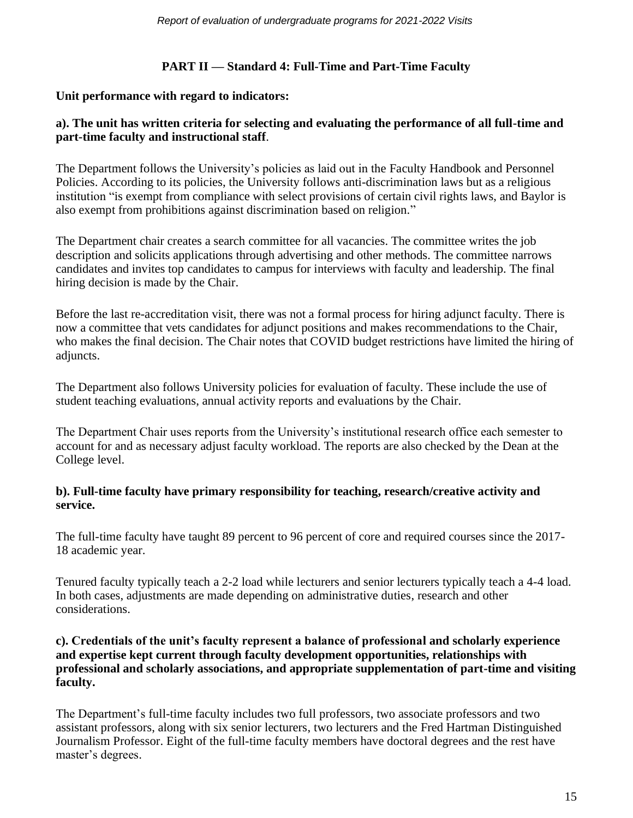# **PART II — Standard 4: Full-Time and Part-Time Faculty**

# **Unit performance with regard to indicators:**

### **a). The unit has written criteria for selecting and evaluating the performance of all full-time and part-time faculty and instructional staff**.

The Department follows the University's policies as laid out in the Faculty Handbook and Personnel Policies. According to its policies, the University follows anti-discrimination laws but as a religious institution "is exempt from compliance with select provisions of certain civil rights laws, and Baylor is also exempt from prohibitions against discrimination based on religion."

The Department chair creates a search committee for all vacancies. The committee writes the job description and solicits applications through advertising and other methods. The committee narrows candidates and invites top candidates to campus for interviews with faculty and leadership. The final hiring decision is made by the Chair.

Before the last re-accreditation visit, there was not a formal process for hiring adjunct faculty. There is now a committee that vets candidates for adjunct positions and makes recommendations to the Chair, who makes the final decision. The Chair notes that COVID budget restrictions have limited the hiring of adjuncts.

The Department also follows University policies for evaluation of faculty. These include the use of student teaching evaluations, annual activity reports and evaluations by the Chair.

The Department Chair uses reports from the University's institutional research office each semester to account for and as necessary adjust faculty workload. The reports are also checked by the Dean at the College level.

### **b). Full-time faculty have primary responsibility for teaching, research/creative activity and service.**

The full-time faculty have taught 89 percent to 96 percent of core and required courses since the 2017- 18 academic year.

Tenured faculty typically teach a 2-2 load while lecturers and senior lecturers typically teach a 4-4 load. In both cases, adjustments are made depending on administrative duties, research and other considerations.

### **c). Credentials of the unit's faculty represent a balance of professional and scholarly experience and expertise kept current through faculty development opportunities, relationships with professional and scholarly associations, and appropriate supplementation of part-time and visiting faculty.**

The Department's full-time faculty includes two full professors, two associate professors and two assistant professors, along with six senior lecturers, two lecturers and the Fred Hartman Distinguished Journalism Professor. Eight of the full-time faculty members have doctoral degrees and the rest have master's degrees.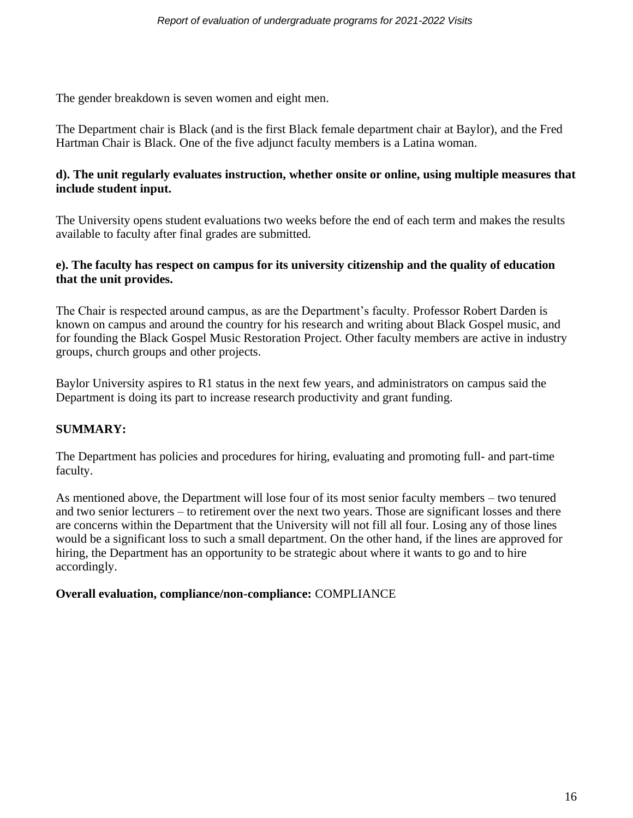The gender breakdown is seven women and eight men.

The Department chair is Black (and is the first Black female department chair at Baylor), and the Fred Hartman Chair is Black. One of the five adjunct faculty members is a Latina woman.

### **d). The unit regularly evaluates instruction, whether onsite or online, using multiple measures that include student input.**

The University opens student evaluations two weeks before the end of each term and makes the results available to faculty after final grades are submitted.

### **e). The faculty has respect on campus for its university citizenship and the quality of education that the unit provides.**

The Chair is respected around campus, as are the Department's faculty. Professor Robert Darden is known on campus and around the country for his research and writing about Black Gospel music, and for founding the Black Gospel Music Restoration Project. Other faculty members are active in industry groups, church groups and other projects.

Baylor University aspires to R1 status in the next few years, and administrators on campus said the Department is doing its part to increase research productivity and grant funding.

# **SUMMARY:**

The Department has policies and procedures for hiring, evaluating and promoting full- and part-time faculty.

As mentioned above, the Department will lose four of its most senior faculty members – two tenured and two senior lecturers – to retirement over the next two years. Those are significant losses and there are concerns within the Department that the University will not fill all four. Losing any of those lines would be a significant loss to such a small department. On the other hand, if the lines are approved for hiring, the Department has an opportunity to be strategic about where it wants to go and to hire accordingly.

### **Overall evaluation, compliance/non-compliance:** COMPLIANCE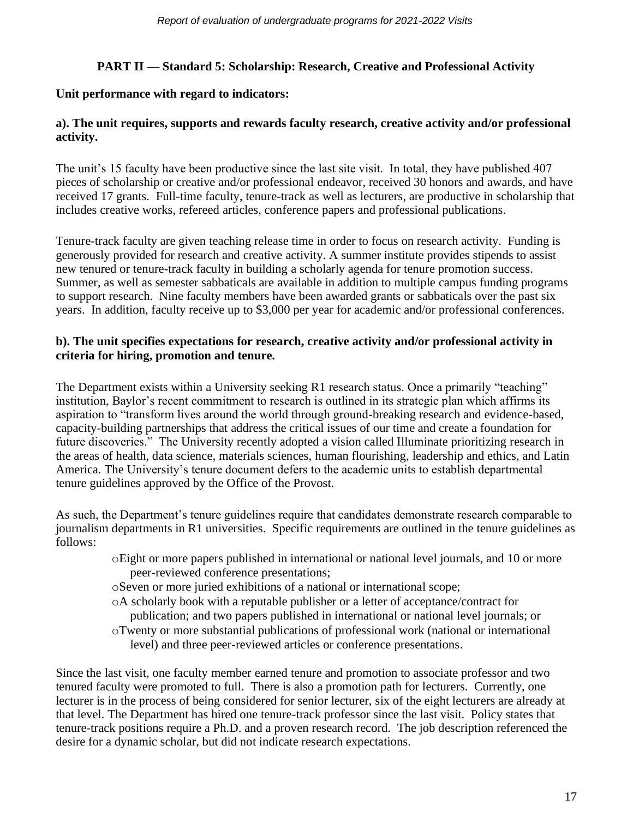# **PART II — Standard 5: Scholarship: Research, Creative and Professional Activity**

# **Unit performance with regard to indicators:**

# **a). The unit requires, supports and rewards faculty research, creative activity and/or professional activity.**

The unit's 15 faculty have been productive since the last site visit. In total, they have published 407 pieces of scholarship or creative and/or professional endeavor, received 30 honors and awards, and have received 17 grants. Full-time faculty, tenure-track as well as lecturers, are productive in scholarship that includes creative works, refereed articles, conference papers and professional publications.

Tenure-track faculty are given teaching release time in order to focus on research activity. Funding is generously provided for research and creative activity. A summer institute provides stipends to assist new tenured or tenure-track faculty in building a scholarly agenda for tenure promotion success. Summer, as well as semester sabbaticals are available in addition to multiple campus funding programs to support research. Nine faculty members have been awarded grants or sabbaticals over the past six years. In addition, faculty receive up to \$3,000 per year for academic and/or professional conferences.

### **b). The unit specifies expectations for research, creative activity and/or professional activity in criteria for hiring, promotion and tenure.**

The Department exists within a University seeking R1 research status. Once a primarily "teaching" institution, Baylor's recent commitment to research is outlined in its strategic plan which affirms its aspiration to "transform lives around the world through ground-breaking research and evidence-based, capacity-building partnerships that address the critical issues of our time and create a foundation for future discoveries." The University recently adopted a vision called Illuminate prioritizing research in the areas of health, data science, materials sciences, human flourishing, leadership and ethics, and Latin America. The University's tenure document defers to the academic units to establish departmental tenure guidelines approved by the Office of the Provost.

As such, the Department's tenure guidelines require that candidates demonstrate research comparable to journalism departments in R1 universities. Specific requirements are outlined in the tenure guidelines as follows:

- oEight or more papers published in international or national level journals, and 10 or more peer-reviewed conference presentations;
- oSeven or more juried exhibitions of a national or international scope;
- oA scholarly book with a reputable publisher or a letter of acceptance/contract for publication; and two papers published in international or national level journals; or
- oTwenty or more substantial publications of professional work (national or international level) and three peer-reviewed articles or conference presentations.

Since the last visit, one faculty member earned tenure and promotion to associate professor and two tenured faculty were promoted to full. There is also a promotion path for lecturers. Currently, one lecturer is in the process of being considered for senior lecturer, six of the eight lecturers are already at that level. The Department has hired one tenure-track professor since the last visit. Policy states that tenure-track positions require a Ph.D. and a proven research record. The job description referenced the desire for a dynamic scholar, but did not indicate research expectations.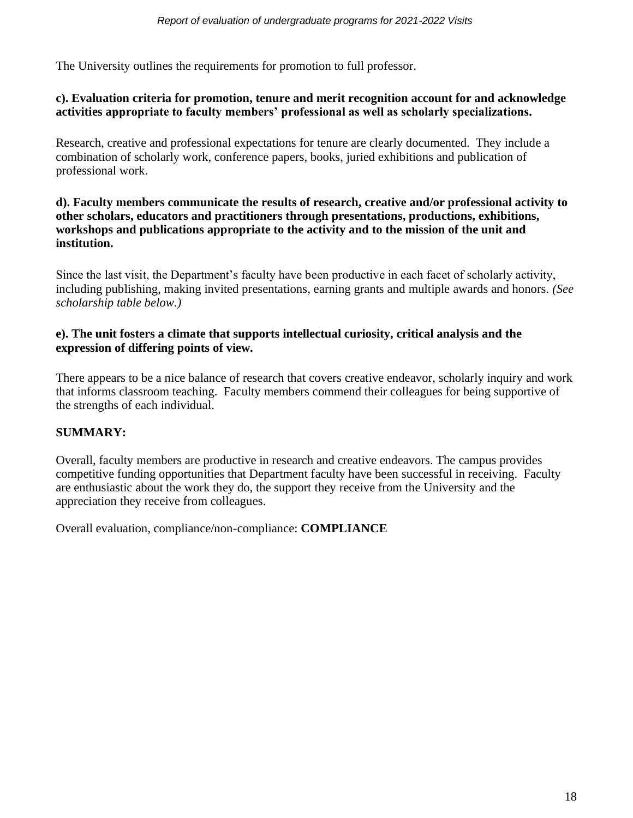The University outlines the requirements for promotion to full professor.

### **c). Evaluation criteria for promotion, tenure and merit recognition account for and acknowledge activities appropriate to faculty members' professional as well as scholarly specializations.**

Research, creative and professional expectations for tenure are clearly documented. They include a combination of scholarly work, conference papers, books, juried exhibitions and publication of professional work.

### **d). Faculty members communicate the results of research, creative and/or professional activity to other scholars, educators and practitioners through presentations, productions, exhibitions, workshops and publications appropriate to the activity and to the mission of the unit and institution.**

Since the last visit, the Department's faculty have been productive in each facet of scholarly activity, including publishing, making invited presentations, earning grants and multiple awards and honors. *(See scholarship table below.)*

### **e). The unit fosters a climate that supports intellectual curiosity, critical analysis and the expression of differing points of view.**

There appears to be a nice balance of research that covers creative endeavor, scholarly inquiry and work that informs classroom teaching. Faculty members commend their colleagues for being supportive of the strengths of each individual.

# **SUMMARY:**

Overall, faculty members are productive in research and creative endeavors. The campus provides competitive funding opportunities that Department faculty have been successful in receiving. Faculty are enthusiastic about the work they do, the support they receive from the University and the appreciation they receive from colleagues.

Overall evaluation, compliance/non-compliance: **COMPLIANCE**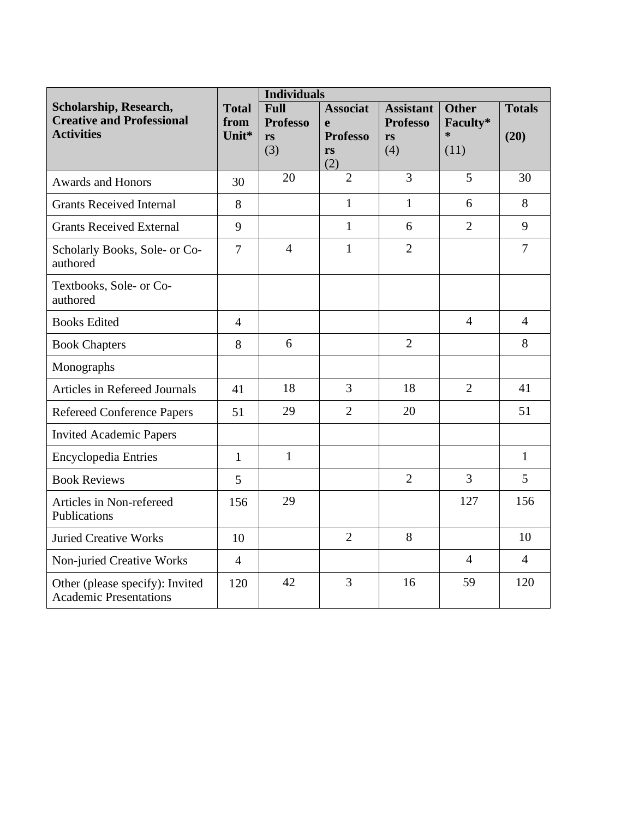|                                                                                 |                               | <b>Individuals</b>                          |                                                                 |                                                  |                                            |                       |
|---------------------------------------------------------------------------------|-------------------------------|---------------------------------------------|-----------------------------------------------------------------|--------------------------------------------------|--------------------------------------------|-----------------------|
| Scholarship, Research,<br><b>Creative and Professional</b><br><b>Activities</b> | <b>Total</b><br>from<br>Unit* | <b>Full</b><br><b>Professo</b><br>rs<br>(3) | <b>Associat</b><br>$\mathbf{e}$<br><b>Professo</b><br>rs<br>(2) | <b>Assistant</b><br><b>Professo</b><br>rs<br>(4) | <b>Other</b><br>Faculty*<br>$\ast$<br>(11) | <b>Totals</b><br>(20) |
| <b>Awards and Honors</b>                                                        | 30                            | 20                                          | $\overline{2}$                                                  | 3                                                | 5                                          | 30                    |
| <b>Grants Received Internal</b>                                                 | 8                             |                                             | $\mathbf{1}$                                                    | $\mathbf{1}$                                     | 6                                          | 8                     |
| <b>Grants Received External</b>                                                 | 9                             |                                             | $\mathbf{1}$                                                    | 6                                                | $\overline{2}$                             | 9                     |
| Scholarly Books, Sole- or Co-<br>authored                                       | $\overline{7}$                | $\overline{4}$                              | $\mathbf{1}$                                                    | $\overline{2}$                                   |                                            | $\overline{7}$        |
| Textbooks, Sole- or Co-<br>authored                                             |                               |                                             |                                                                 |                                                  |                                            |                       |
| <b>Books Edited</b>                                                             | $\overline{4}$                |                                             |                                                                 |                                                  | $\overline{4}$                             | $\overline{4}$        |
| <b>Book Chapters</b>                                                            | 8                             | 6                                           |                                                                 | $\overline{2}$                                   |                                            | 8                     |
| Monographs                                                                      |                               |                                             |                                                                 |                                                  |                                            |                       |
| <b>Articles in Refereed Journals</b>                                            | 41                            | 18                                          | 3                                                               | 18                                               | $\overline{2}$                             | 41                    |
| <b>Refereed Conference Papers</b>                                               | 51                            | 29                                          | $\overline{2}$                                                  | 20                                               |                                            | 51                    |
| <b>Invited Academic Papers</b>                                                  |                               |                                             |                                                                 |                                                  |                                            |                       |
| <b>Encyclopedia Entries</b>                                                     | $\mathbf{1}$                  | $\mathbf{1}$                                |                                                                 |                                                  |                                            | $\mathbf{1}$          |
| <b>Book Reviews</b>                                                             | 5                             |                                             |                                                                 | $\overline{2}$                                   | $\overline{3}$                             | 5                     |
| Articles in Non-refereed<br>Publications                                        | 156                           | 29                                          |                                                                 |                                                  | 127                                        | 156                   |
| <b>Juried Creative Works</b>                                                    | 10                            |                                             | $\overline{2}$                                                  | 8                                                |                                            | 10                    |
| Non-juried Creative Works                                                       | $\overline{4}$                |                                             |                                                                 |                                                  | $\overline{4}$                             | $\overline{4}$        |
| Other (please specify): Invited<br><b>Academic Presentations</b>                | 120                           | 42                                          | 3                                                               | 16                                               | 59                                         | 120                   |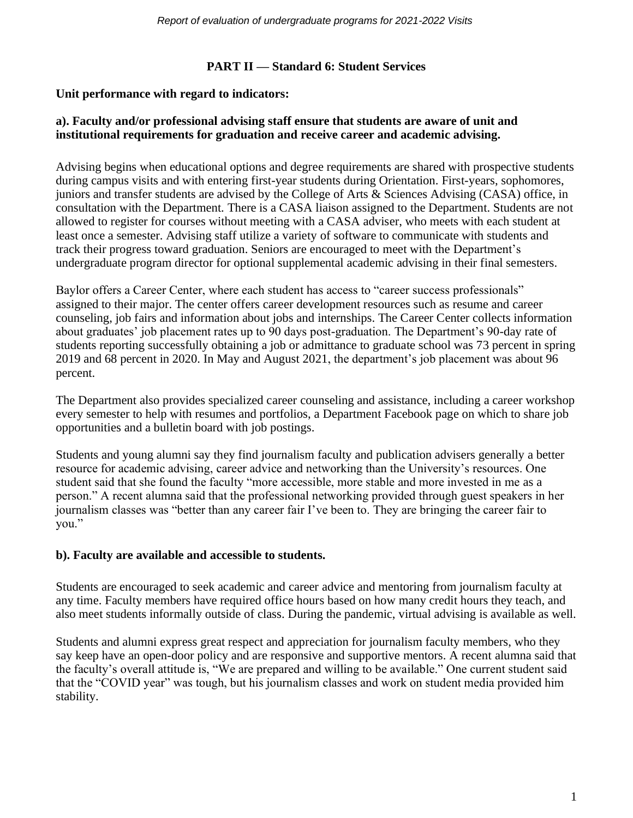### **PART II — Standard 6: Student Services**

### **Unit performance with regard to indicators:**

### **a). Faculty and/or professional advising staff ensure that students are aware of unit and institutional requirements for graduation and receive career and academic advising.**

Advising begins when educational options and degree requirements are shared with prospective students during campus visits and with entering first-year students during Orientation. First-years, sophomores, juniors and transfer students are advised by the College of Arts & Sciences Advising (CASA) office, in consultation with the Department. There is a CASA liaison assigned to the Department. Students are not allowed to register for courses without meeting with a CASA adviser, who meets with each student at least once a semester. Advising staff utilize a variety of software to communicate with students and track their progress toward graduation. Seniors are encouraged to meet with the Department's undergraduate program director for optional supplemental academic advising in their final semesters.

Baylor offers a Career Center, where each student has access to "career success professionals" assigned to their major. The center offers career development resources such as resume and career counseling, job fairs and information about jobs and internships. The Career Center collects information about graduates' job placement rates up to 90 days post-graduation. The Department's 90-day rate of students reporting successfully obtaining a job or admittance to graduate school was 73 percent in spring 2019 and 68 percent in 2020. In May and August 2021, the department's job placement was about 96 percent.

The Department also provides specialized career counseling and assistance, including a career workshop every semester to help with resumes and portfolios, a Department Facebook page on which to share job opportunities and a bulletin board with job postings.

Students and young alumni say they find journalism faculty and publication advisers generally a better resource for academic advising, career advice and networking than the University's resources. One student said that she found the faculty "more accessible, more stable and more invested in me as a person." A recent alumna said that the professional networking provided through guest speakers in her journalism classes was "better than any career fair I've been to. They are bringing the career fair to you."

### **b). Faculty are available and accessible to students.**

Students are encouraged to seek academic and career advice and mentoring from journalism faculty at any time. Faculty members have required office hours based on how many credit hours they teach, and also meet students informally outside of class. During the pandemic, virtual advising is available as well.

Students and alumni express great respect and appreciation for journalism faculty members, who they say keep have an open-door policy and are responsive and supportive mentors. A recent alumna said that the faculty's overall attitude is, "We are prepared and willing to be available." One current student said that the "COVID year" was tough, but his journalism classes and work on student media provided him stability.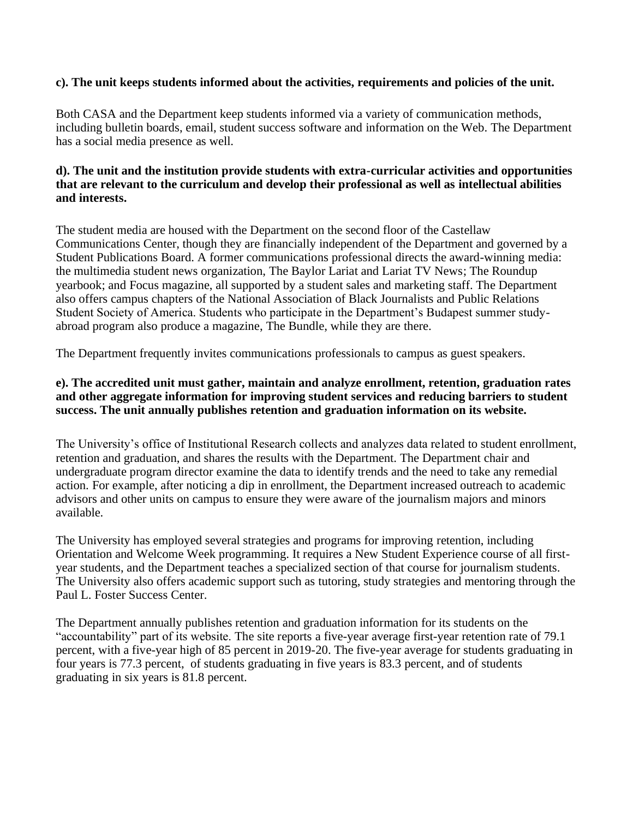### **c). The unit keeps students informed about the activities, requirements and policies of the unit.**

Both CASA and the Department keep students informed via a variety of communication methods, including bulletin boards, email, student success software and information on the Web. The Department has a social media presence as well.

### **d). The unit and the institution provide students with extra-curricular activities and opportunities that are relevant to the curriculum and develop their professional as well as intellectual abilities and interests.**

The student media are housed with the Department on the second floor of the Castellaw Communications Center, though they are financially independent of the Department and governed by a Student Publications Board. A former communications professional directs the award-winning media: the multimedia student news organization, The Baylor Lariat and Lariat TV News; The Roundup yearbook; and Focus magazine, all supported by a student sales and marketing staff. The Department also offers campus chapters of the National Association of Black Journalists and Public Relations Student Society of America. Students who participate in the Department's Budapest summer studyabroad program also produce a magazine, The Bundle, while they are there.

The Department frequently invites communications professionals to campus as guest speakers.

### **e). The accredited unit must gather, maintain and analyze enrollment, retention, graduation rates and other aggregate information for improving student services and reducing barriers to student success. The unit annually publishes retention and graduation information on its website.**

The University's office of Institutional Research collects and analyzes data related to student enrollment, retention and graduation, and shares the results with the Department. The Department chair and undergraduate program director examine the data to identify trends and the need to take any remedial action. For example, after noticing a dip in enrollment, the Department increased outreach to academic advisors and other units on campus to ensure they were aware of the journalism majors and minors available.

The University has employed several strategies and programs for improving retention, including Orientation and Welcome Week programming. It requires a New Student Experience course of all firstyear students, and the Department teaches a specialized section of that course for journalism students. The University also offers academic support such as tutoring, study strategies and mentoring through the Paul L. Foster Success Center.

The Department annually publishes retention and graduation information for its students on the "accountability" part of its website. The site reports a five-year average first-year retention rate of 79.1 percent, with a five-year high of 85 percent in 2019-20. The five-year average for students graduating in four years is 77.3 percent, of students graduating in five years is 83.3 percent, and of students graduating in six years is 81.8 percent.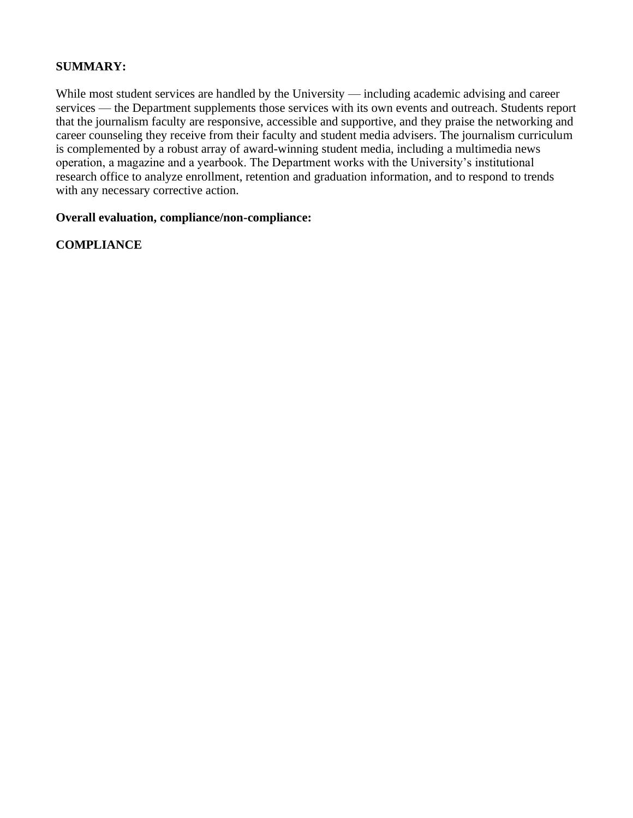### **SUMMARY:**

While most student services are handled by the University — including academic advising and career services — the Department supplements those services with its own events and outreach. Students report that the journalism faculty are responsive, accessible and supportive, and they praise the networking and career counseling they receive from their faculty and student media advisers. The journalism curriculum is complemented by a robust array of award-winning student media, including a multimedia news operation, a magazine and a yearbook. The Department works with the University's institutional research office to analyze enrollment, retention and graduation information, and to respond to trends with any necessary corrective action.

#### **Overall evaluation, compliance/non-compliance:**

### **COMPLIANCE**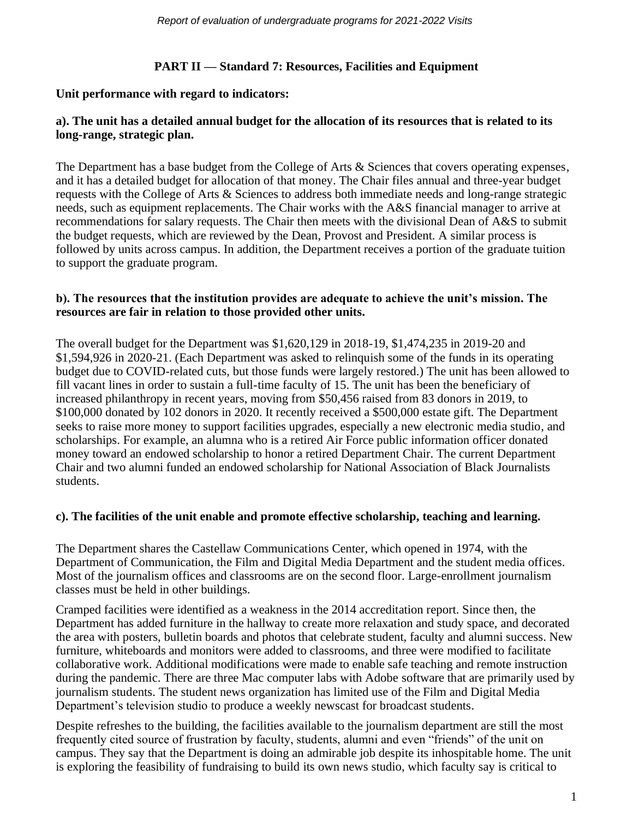# **PART II — Standard 7: Resources, Facilities and Equipment**

### **Unit performance with regard to indicators:**

### **a). The unit has a detailed annual budget for the allocation of its resources that is related to its long-range, strategic plan.**

The Department has a base budget from the College of Arts & Sciences that covers operating expenses, and it has a detailed budget for allocation of that money. The Chair files annual and three-year budget requests with the College of Arts & Sciences to address both immediate needs and long-range strategic needs, such as equipment replacements. The Chair works with the A&S financial manager to arrive at recommendations for salary requests. The Chair then meets with the divisional Dean of A&S to submit the budget requests, which are reviewed by the Dean, Provost and President. A similar process is followed by units across campus. In addition, the Department receives a portion of the graduate tuition to support the graduate program.

### **b). The resources that the institution provides are adequate to achieve the unit's mission. The resources are fair in relation to those provided other units.**

The overall budget for the Department was \$1,620,129 in 2018-19, \$1,474,235 in 2019-20 and \$1,594,926 in 2020-21. (Each Department was asked to relinquish some of the funds in its operating budget due to COVID-related cuts, but those funds were largely restored.) The unit has been allowed to fill vacant lines in order to sustain a full-time faculty of 15. The unit has been the beneficiary of increased philanthropy in recent years, moving from \$50,456 raised from 83 donors in 2019, to \$100,000 donated by 102 donors in 2020. It recently received a \$500,000 estate gift. The Department seeks to raise more money to support facilities upgrades, especially a new electronic media studio, and scholarships. For example, an alumna who is a retired Air Force public information officer donated money toward an endowed scholarship to honor a retired Department Chair. The current Department Chair and two alumni funded an endowed scholarship for National Association of Black Journalists students.

### **c). The facilities of the unit enable and promote effective scholarship, teaching and learning.**

The Department shares the Castellaw Communications Center, which opened in 1974, with the Department of Communication, the Film and Digital Media Department and the student media offices. Most of the journalism offices and classrooms are on the second floor. Large-enrollment journalism classes must be held in other buildings.

Cramped facilities were identified as a weakness in the 2014 accreditation report. Since then, the Department has added furniture in the hallway to create more relaxation and study space, and decorated the area with posters, bulletin boards and photos that celebrate student, faculty and alumni success. New furniture, whiteboards and monitors were added to classrooms, and three were modified to facilitate collaborative work. Additional modifications were made to enable safe teaching and remote instruction during the pandemic. There are three Mac computer labs with Adobe software that are primarily used by journalism students. The student news organization has limited use of the Film and Digital Media Department's television studio to produce a weekly newscast for broadcast students.

Despite refreshes to the building, the facilities available to the journalism department are still the most frequently cited source of frustration by faculty, students, alumni and even "friends" of the unit on campus. They say that the Department is doing an admirable job despite its inhospitable home. The unit is exploring the feasibility of fundraising to build its own news studio, which faculty say is critical to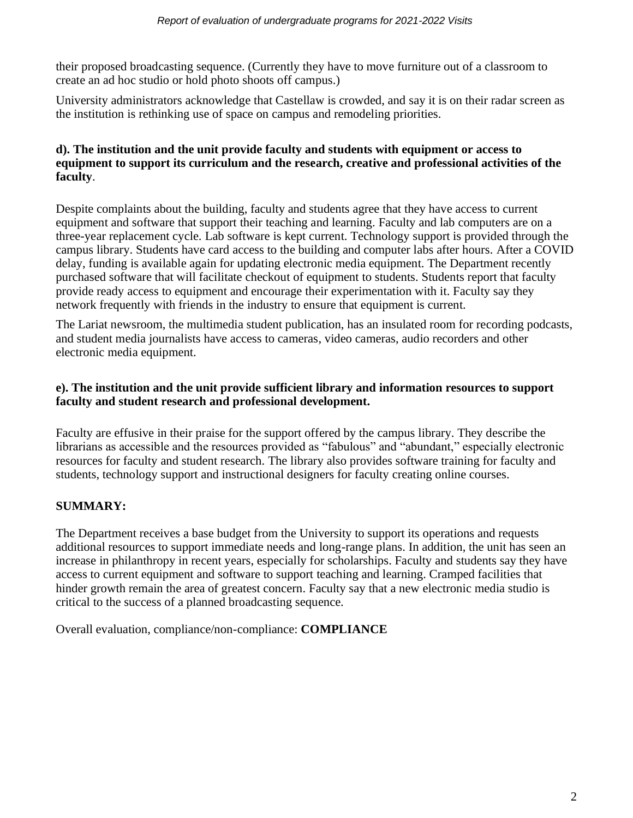their proposed broadcasting sequence. (Currently they have to move furniture out of a classroom to create an ad hoc studio or hold photo shoots off campus.)

University administrators acknowledge that Castellaw is crowded, and say it is on their radar screen as the institution is rethinking use of space on campus and remodeling priorities.

### **d). The institution and the unit provide faculty and students with equipment or access to equipment to support its curriculum and the research, creative and professional activities of the faculty**.

Despite complaints about the building, faculty and students agree that they have access to current equipment and software that support their teaching and learning. Faculty and lab computers are on a three-year replacement cycle. Lab software is kept current. Technology support is provided through the campus library. Students have card access to the building and computer labs after hours. After a COVID delay, funding is available again for updating electronic media equipment. The Department recently purchased software that will facilitate checkout of equipment to students. Students report that faculty provide ready access to equipment and encourage their experimentation with it. Faculty say they network frequently with friends in the industry to ensure that equipment is current.

The Lariat newsroom, the multimedia student publication, has an insulated room for recording podcasts, and student media journalists have access to cameras, video cameras, audio recorders and other electronic media equipment.

# **e). The institution and the unit provide sufficient library and information resources to support faculty and student research and professional development.**

Faculty are effusive in their praise for the support offered by the campus library. They describe the librarians as accessible and the resources provided as "fabulous" and "abundant," especially electronic resources for faculty and student research. The library also provides software training for faculty and students, technology support and instructional designers for faculty creating online courses.

# **SUMMARY:**

The Department receives a base budget from the University to support its operations and requests additional resources to support immediate needs and long-range plans. In addition, the unit has seen an increase in philanthropy in recent years, especially for scholarships. Faculty and students say they have access to current equipment and software to support teaching and learning. Cramped facilities that hinder growth remain the area of greatest concern. Faculty say that a new electronic media studio is critical to the success of a planned broadcasting sequence.

Overall evaluation, compliance/non-compliance: **COMPLIANCE**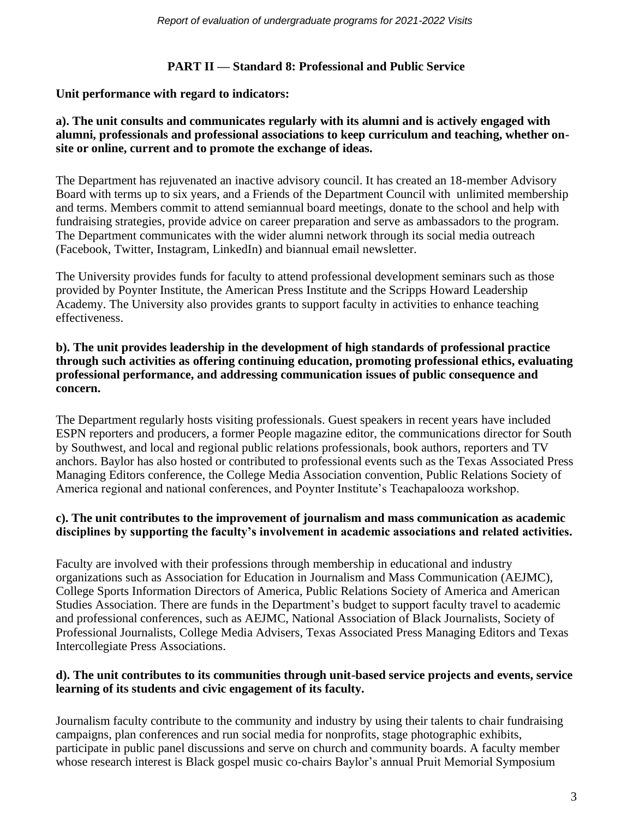### **PART II — Standard 8: Professional and Public Service**

### **Unit performance with regard to indicators:**

### **a). The unit consults and communicates regularly with its alumni and is actively engaged with alumni, professionals and professional associations to keep curriculum and teaching, whether onsite or online, current and to promote the exchange of ideas.**

The Department has rejuvenated an inactive advisory council. It has created an 18-member Advisory Board with terms up to six years, and a Friends of the Department Council with unlimited membership and terms. Members commit to attend semiannual board meetings, donate to the school and help with fundraising strategies, provide advice on career preparation and serve as ambassadors to the program. The Department communicates with the wider alumni network through its social media outreach (Facebook, Twitter, Instagram, LinkedIn) and biannual email newsletter.

The University provides funds for faculty to attend professional development seminars such as those provided by Poynter Institute, the American Press Institute and the Scripps Howard Leadership Academy. The University also provides grants to support faculty in activities to enhance teaching effectiveness.

### **b). The unit provides leadership in the development of high standards of professional practice through such activities as offering continuing education, promoting professional ethics, evaluating professional performance, and addressing communication issues of public consequence and concern.**

The Department regularly hosts visiting professionals. Guest speakers in recent years have included ESPN reporters and producers, a former People magazine editor, the communications director for South by Southwest, and local and regional public relations professionals, book authors, reporters and TV anchors. Baylor has also hosted or contributed to professional events such as the Texas Associated Press Managing Editors conference, the College Media Association convention, Public Relations Society of America regional and national conferences, and Poynter Institute's Teachapalooza workshop.

# **c). The unit contributes to the improvement of journalism and mass communication as academic disciplines by supporting the faculty's involvement in academic associations and related activities.**

Faculty are involved with their professions through membership in educational and industry organizations such as Association for Education in Journalism and Mass Communication (AEJMC), College Sports Information Directors of America, Public Relations Society of America and American Studies Association. There are funds in the Department's budget to support faculty travel to academic and professional conferences, such as AEJMC, National Association of Black Journalists, Society of Professional Journalists, College Media Advisers, Texas Associated Press Managing Editors and Texas Intercollegiate Press Associations.

### **d). The unit contributes to its communities through unit-based service projects and events, service learning of its students and civic engagement of its faculty.**

Journalism faculty contribute to the community and industry by using their talents to chair fundraising campaigns, plan conferences and run social media for nonprofits, stage photographic exhibits, participate in public panel discussions and serve on church and community boards. A faculty member whose research interest is Black gospel music co-chairs Baylor's annual Pruit Memorial Symposium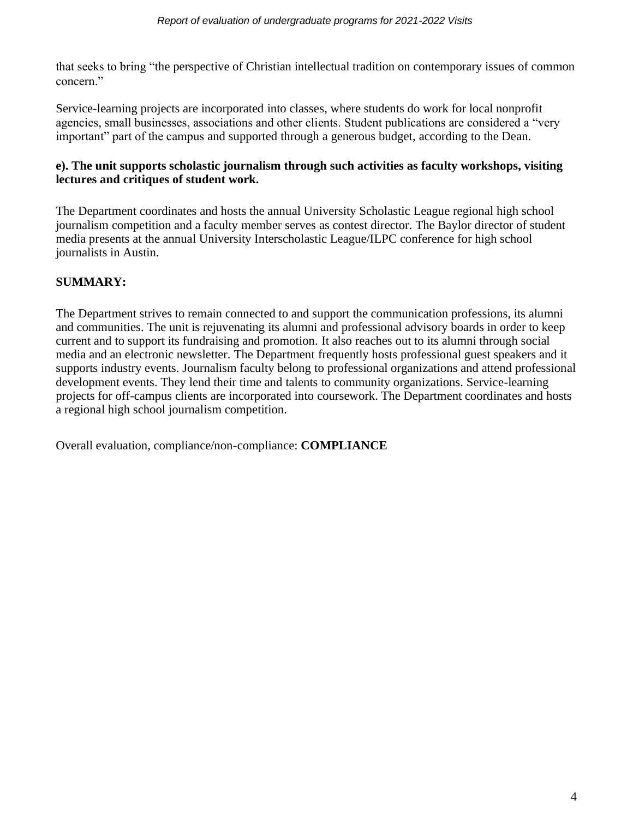that seeks to bring "the perspective of Christian intellectual tradition on contemporary issues of common concern."

Service-learning projects are incorporated into classes, where students do work for local nonprofit agencies, small businesses, associations and other clients. Student publications are considered a "very important" part of the campus and supported through a generous budget, according to the Dean.

# **e). The unit supports scholastic journalism through such activities as faculty workshops, visiting lectures and critiques of student work.**

The Department coordinates and hosts the annual University Scholastic League regional high school journalism competition and a faculty member serves as contest director. The Baylor director of student media presents at the annual University Interscholastic League/ILPC conference for high school journalists in Austin.

# **SUMMARY:**

The Department strives to remain connected to and support the communication professions, its alumni and communities. The unit is rejuvenating its alumni and professional advisory boards in order to keep current and to support its fundraising and promotion. It also reaches out to its alumni through social media and an electronic newsletter. The Department frequently hosts professional guest speakers and it supports industry events. Journalism faculty belong to professional organizations and attend professional development events. They lend their time and talents to community organizations. Service-learning projects for off-campus clients are incorporated into coursework. The Department coordinates and hosts a regional high school journalism competition.

Overall evaluation, compliance/non-compliance: **COMPLIANCE**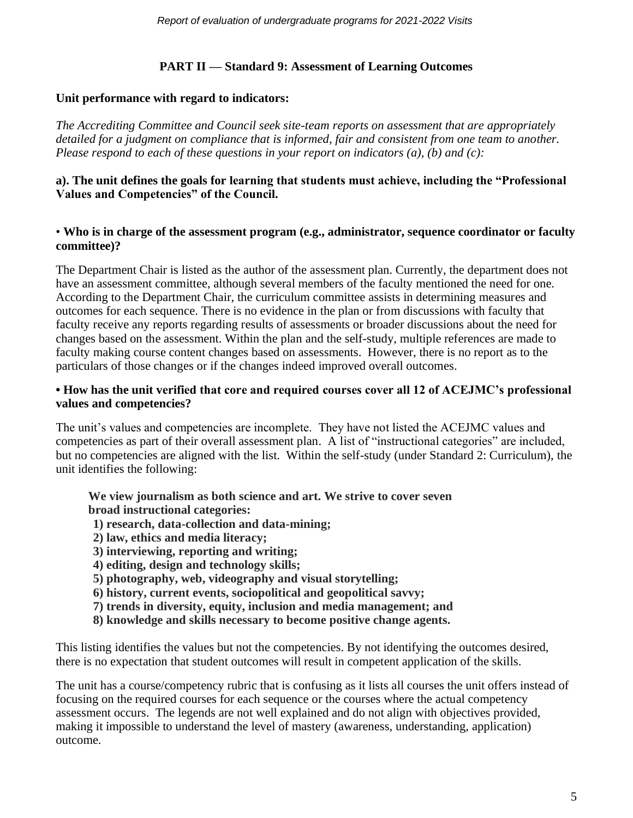# **PART II — Standard 9: Assessment of Learning Outcomes**

### **Unit performance with regard to indicators:**

*The Accrediting Committee and Council seek site-team reports on assessment that are appropriately detailed for a judgment on compliance that is informed, fair and consistent from one team to another. Please respond to each of these questions in your report on indicators (a), (b) and (c):*

### **a). The unit defines the goals for learning that students must achieve, including the "Professional Values and Competencies" of the Council.**

### • **Who is in charge of the assessment program (e.g., administrator, sequence coordinator or faculty committee)?**

The Department Chair is listed as the author of the assessment plan. Currently, the department does not have an assessment committee, although several members of the faculty mentioned the need for one. According to the Department Chair, the curriculum committee assists in determining measures and outcomes for each sequence. There is no evidence in the plan or from discussions with faculty that faculty receive any reports regarding results of assessments or broader discussions about the need for changes based on the assessment. Within the plan and the self-study, multiple references are made to faculty making course content changes based on assessments. However, there is no report as to the particulars of those changes or if the changes indeed improved overall outcomes.

### **• How has the unit verified that core and required courses cover all 12 of ACEJMC's professional values and competencies?**

The unit's values and competencies are incomplete. They have not listed the ACEJMC values and competencies as part of their overall assessment plan. A list of "instructional categories" are included, but no competencies are aligned with the list. Within the self-study (under Standard 2: Curriculum), the unit identifies the following:

**We view journalism as both science and art. We strive to cover seven broad instructional categories:** 

- **1) research, data-collection and data-mining;**
- **2) law, ethics and media literacy;**
- **3) interviewing, reporting and writing;**
- **4) editing, design and technology skills;**
- **5) photography, web, videography and visual storytelling;**
- **6) history, current events, sociopolitical and geopolitical savvy;**
- **7) trends in diversity, equity, inclusion and media management; and**
- **8) knowledge and skills necessary to become positive change agents.**

This listing identifies the values but not the competencies. By not identifying the outcomes desired, there is no expectation that student outcomes will result in competent application of the skills.

The unit has a course/competency rubric that is confusing as it lists all courses the unit offers instead of focusing on the required courses for each sequence or the courses where the actual competency assessment occurs. The legends are not well explained and do not align with objectives provided, making it impossible to understand the level of mastery (awareness, understanding, application) outcome.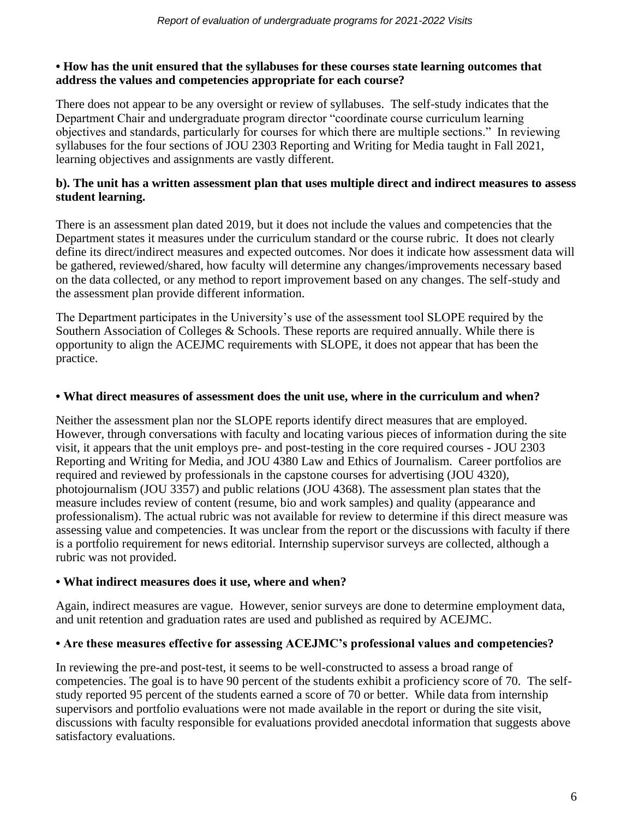### **• How has the unit ensured that the syllabuses for these courses state learning outcomes that address the values and competencies appropriate for each course?**

There does not appear to be any oversight or review of syllabuses. The self-study indicates that the Department Chair and undergraduate program director "coordinate course curriculum learning objectives and standards, particularly for courses for which there are multiple sections." In reviewing syllabuses for the four sections of JOU 2303 Reporting and Writing for Media taught in Fall 2021, learning objectives and assignments are vastly different.

# **b). The unit has a written assessment plan that uses multiple direct and indirect measures to assess student learning.**

There is an assessment plan dated 2019, but it does not include the values and competencies that the Department states it measures under the curriculum standard or the course rubric. It does not clearly define its direct/indirect measures and expected outcomes. Nor does it indicate how assessment data will be gathered, reviewed/shared, how faculty will determine any changes/improvements necessary based on the data collected, or any method to report improvement based on any changes. The self-study and the assessment plan provide different information.

The Department participates in the University's use of the assessment tool SLOPE required by the Southern Association of Colleges & Schools. These reports are required annually. While there is opportunity to align the ACEJMC requirements with SLOPE, it does not appear that has been the practice.

# **• What direct measures of assessment does the unit use, where in the curriculum and when?**

Neither the assessment plan nor the SLOPE reports identify direct measures that are employed. However, through conversations with faculty and locating various pieces of information during the site visit, it appears that the unit employs pre- and post-testing in the core required courses - JOU 2303 Reporting and Writing for Media, and JOU 4380 Law and Ethics of Journalism. Career portfolios are required and reviewed by professionals in the capstone courses for advertising (JOU 4320), photojournalism (JOU 3357) and public relations (JOU 4368). The assessment plan states that the measure includes review of content (resume, bio and work samples) and quality (appearance and professionalism). The actual rubric was not available for review to determine if this direct measure was assessing value and competencies. It was unclear from the report or the discussions with faculty if there is a portfolio requirement for news editorial. Internship supervisor surveys are collected, although a rubric was not provided.

# **• What indirect measures does it use, where and when?**

Again, indirect measures are vague. However, senior surveys are done to determine employment data, and unit retention and graduation rates are used and published as required by ACEJMC.

# **• Are these measures effective for assessing ACEJMC's professional values and competencies?**

In reviewing the pre-and post-test, it seems to be well-constructed to assess a broad range of competencies. The goal is to have 90 percent of the students exhibit a proficiency score of 70. The selfstudy reported 95 percent of the students earned a score of 70 or better. While data from internship supervisors and portfolio evaluations were not made available in the report or during the site visit, discussions with faculty responsible for evaluations provided anecdotal information that suggests above satisfactory evaluations.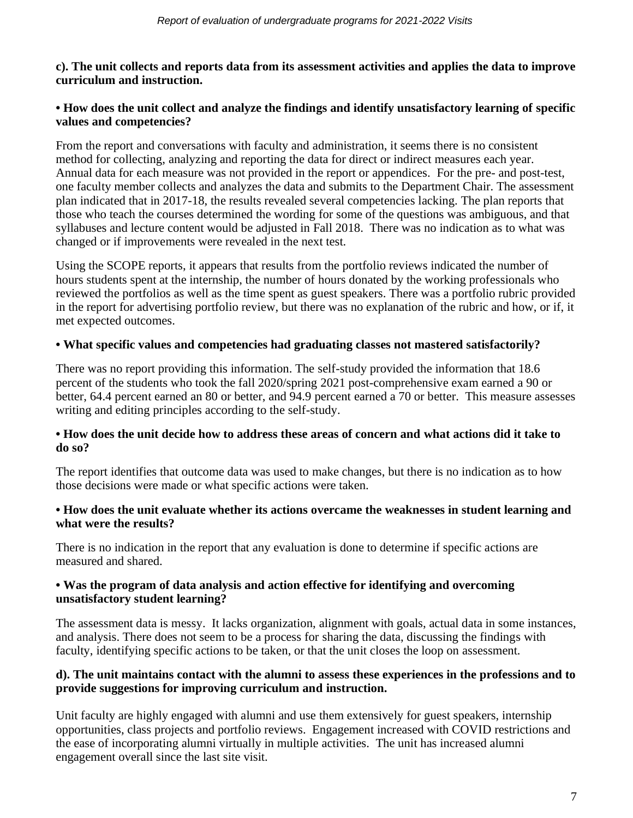### **c). The unit collects and reports data from its assessment activities and applies the data to improve curriculum and instruction.**

### **• How does the unit collect and analyze the findings and identify unsatisfactory learning of specific values and competencies?**

From the report and conversations with faculty and administration, it seems there is no consistent method for collecting, analyzing and reporting the data for direct or indirect measures each year. Annual data for each measure was not provided in the report or appendices. For the pre- and post-test, one faculty member collects and analyzes the data and submits to the Department Chair. The assessment plan indicated that in 2017-18, the results revealed several competencies lacking. The plan reports that those who teach the courses determined the wording for some of the questions was ambiguous, and that syllabuses and lecture content would be adjusted in Fall 2018. There was no indication as to what was changed or if improvements were revealed in the next test.

Using the SCOPE reports, it appears that results from the portfolio reviews indicated the number of hours students spent at the internship, the number of hours donated by the working professionals who reviewed the portfolios as well as the time spent as guest speakers. There was a portfolio rubric provided in the report for advertising portfolio review, but there was no explanation of the rubric and how, or if, it met expected outcomes.

# **• What specific values and competencies had graduating classes not mastered satisfactorily?**

There was no report providing this information. The self-study provided the information that 18.6 percent of the students who took the fall 2020/spring 2021 post-comprehensive exam earned a 90 or better, 64.4 percent earned an 80 or better, and 94.9 percent earned a 70 or better. This measure assesses writing and editing principles according to the self-study.

### **• How does the unit decide how to address these areas of concern and what actions did it take to do so?**

The report identifies that outcome data was used to make changes, but there is no indication as to how those decisions were made or what specific actions were taken.

### **• How does the unit evaluate whether its actions overcame the weaknesses in student learning and what were the results?**

There is no indication in the report that any evaluation is done to determine if specific actions are measured and shared.

### **• Was the program of data analysis and action effective for identifying and overcoming unsatisfactory student learning?**

The assessment data is messy. It lacks organization, alignment with goals, actual data in some instances, and analysis. There does not seem to be a process for sharing the data, discussing the findings with faculty, identifying specific actions to be taken, or that the unit closes the loop on assessment.

### **d). The unit maintains contact with the alumni to assess these experiences in the professions and to provide suggestions for improving curriculum and instruction.**

Unit faculty are highly engaged with alumni and use them extensively for guest speakers, internship opportunities, class projects and portfolio reviews. Engagement increased with COVID restrictions and the ease of incorporating alumni virtually in multiple activities. The unit has increased alumni engagement overall since the last site visit.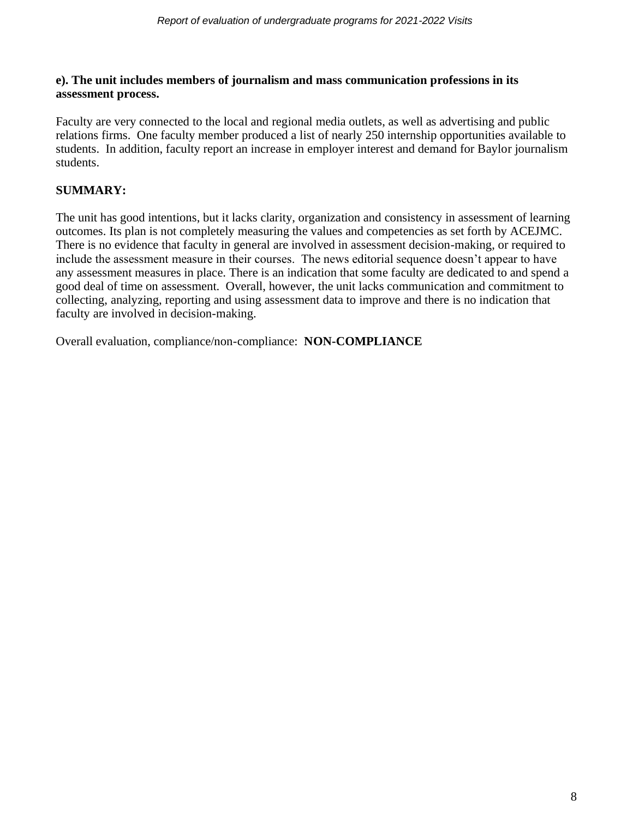### **e). The unit includes members of journalism and mass communication professions in its assessment process.**

Faculty are very connected to the local and regional media outlets, as well as advertising and public relations firms. One faculty member produced a list of nearly 250 internship opportunities available to students. In addition, faculty report an increase in employer interest and demand for Baylor journalism students.

# **SUMMARY:**

The unit has good intentions, but it lacks clarity, organization and consistency in assessment of learning outcomes. Its plan is not completely measuring the values and competencies as set forth by ACEJMC. There is no evidence that faculty in general are involved in assessment decision-making, or required to include the assessment measure in their courses. The news editorial sequence doesn't appear to have any assessment measures in place. There is an indication that some faculty are dedicated to and spend a good deal of time on assessment. Overall, however, the unit lacks communication and commitment to collecting, analyzing, reporting and using assessment data to improve and there is no indication that faculty are involved in decision-making.

Overall evaluation, compliance/non-compliance: **NON-COMPLIANCE**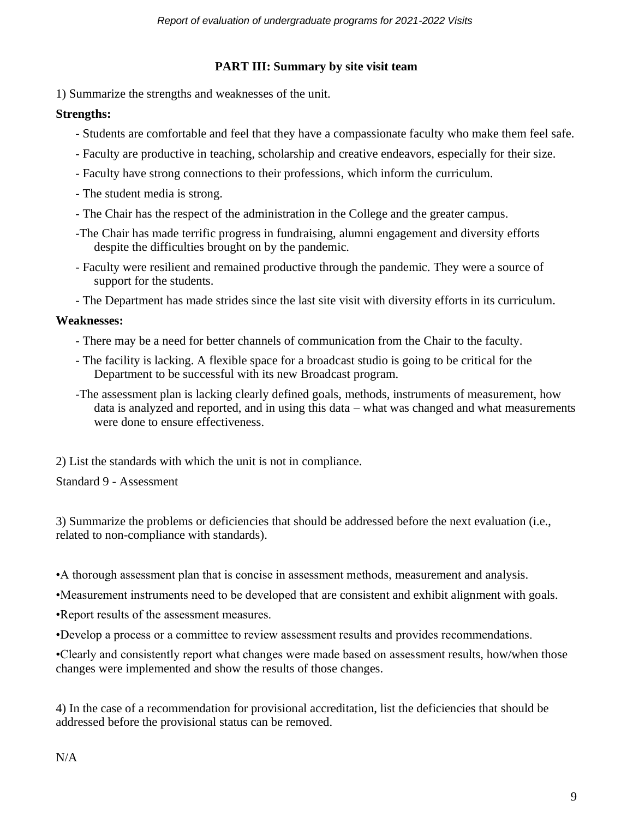### **PART III: Summary by site visit team**

1) Summarize the strengths and weaknesses of the unit.

### **Strengths:**

- Students are comfortable and feel that they have a compassionate faculty who make them feel safe.
- Faculty are productive in teaching, scholarship and creative endeavors, especially for their size.
- Faculty have strong connections to their professions, which inform the curriculum.
- The student media is strong.
- The Chair has the respect of the administration in the College and the greater campus.
- -The Chair has made terrific progress in fundraising, alumni engagement and diversity efforts despite the difficulties brought on by the pandemic.
- Faculty were resilient and remained productive through the pandemic. They were a source of support for the students.
- The Department has made strides since the last site visit with diversity efforts in its curriculum.

#### **Weaknesses:**

- There may be a need for better channels of communication from the Chair to the faculty.
- The facility is lacking. A flexible space for a broadcast studio is going to be critical for the Department to be successful with its new Broadcast program.
- -The assessment plan is lacking clearly defined goals, methods, instruments of measurement, how data is analyzed and reported, and in using this data – what was changed and what measurements were done to ensure effectiveness.

2) List the standards with which the unit is not in compliance.

### Standard 9 - Assessment

3) Summarize the problems or deficiencies that should be addressed before the next evaluation (i.e., related to non-compliance with standards).

- •A thorough assessment plan that is concise in assessment methods, measurement and analysis.
- •Measurement instruments need to be developed that are consistent and exhibit alignment with goals.
- •Report results of the assessment measures.
- •Develop a process or a committee to review assessment results and provides recommendations.

•Clearly and consistently report what changes were made based on assessment results, how/when those changes were implemented and show the results of those changes.

4) In the case of a recommendation for provisional accreditation, list the deficiencies that should be addressed before the provisional status can be removed.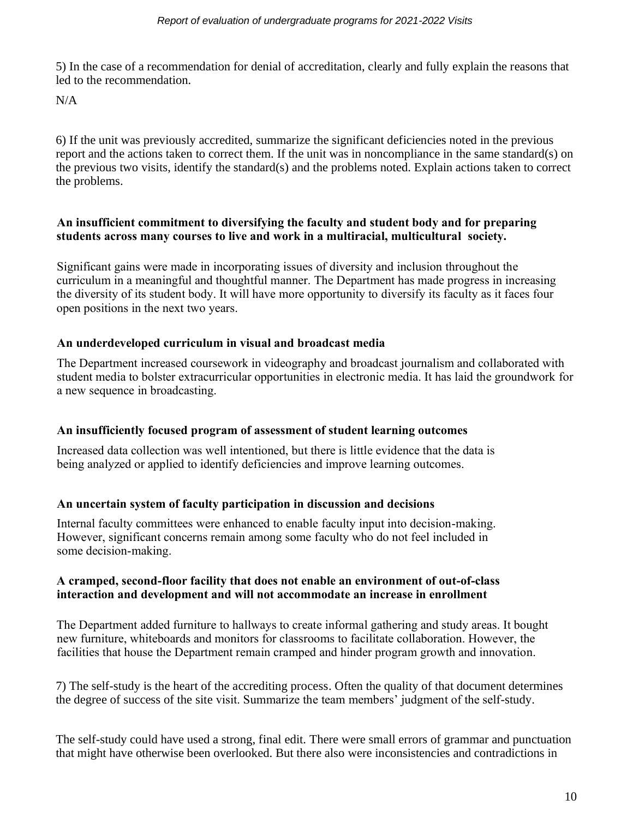5) In the case of a recommendation for denial of accreditation, clearly and fully explain the reasons that led to the recommendation.

 $N/A$ 

6) If the unit was previously accredited, summarize the significant deficiencies noted in the previous report and the actions taken to correct them. If the unit was in noncompliance in the same standard(s) on the previous two visits, identify the standard(s) and the problems noted. Explain actions taken to correct the problems.

### **An insufficient commitment to diversifying the faculty and student body and for preparing students across many courses to live and work in a multiracial, multicultural society.**

Significant gains were made in incorporating issues of diversity and inclusion throughout the curriculum in a meaningful and thoughtful manner. The Department has made progress in increasing the diversity of its student body. It will have more opportunity to diversify its faculty as it faces four open positions in the next two years.

# **An underdeveloped curriculum in visual and broadcast media**

The Department increased coursework in videography and broadcast journalism and collaborated with student media to bolster extracurricular opportunities in electronic media. It has laid the groundwork for a new sequence in broadcasting.

# **An insufficiently focused program of assessment of student learning outcomes**

Increased data collection was well intentioned, but there is little evidence that the data is being analyzed or applied to identify deficiencies and improve learning outcomes.

# **An uncertain system of faculty participation in discussion and decisions**

Internal faculty committees were enhanced to enable faculty input into decision-making. However, significant concerns remain among some faculty who do not feel included in some decision-making.

### **A cramped, second-floor facility that does not enable an environment of out-of-class interaction and development and will not accommodate an increase in enrollment**

The Department added furniture to hallways to create informal gathering and study areas. It bought new furniture, whiteboards and monitors for classrooms to facilitate collaboration. However, the facilities that house the Department remain cramped and hinder program growth and innovation.

7) The self-study is the heart of the accrediting process. Often the quality of that document determines the degree of success of the site visit. Summarize the team members' judgment of the self-study.

The self-study could have used a strong, final edit. There were small errors of grammar and punctuation that might have otherwise been overlooked. But there also were inconsistencies and contradictions in